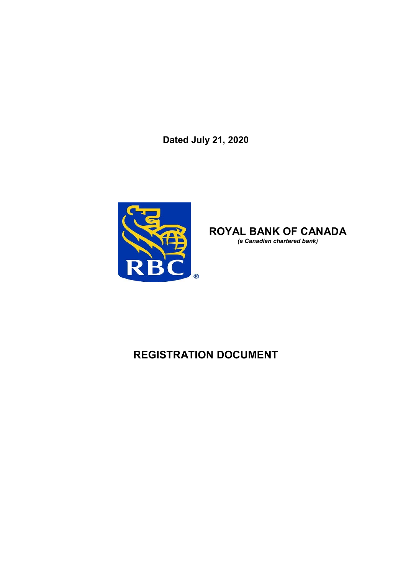**Dated July 21, 2020** 





# **REGISTRATION DOCUMENT**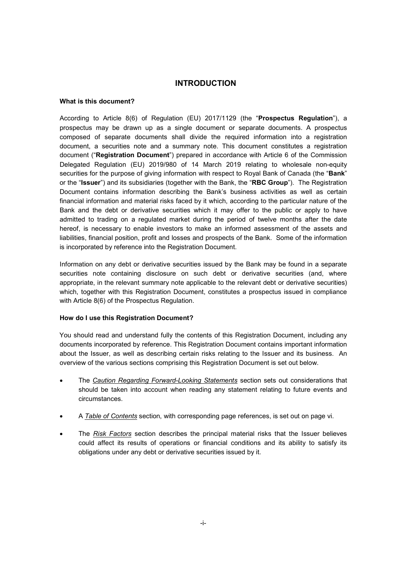# **INTRODUCTION**

#### **What is this document?**

According to Article 8(6) of Regulation (EU) 2017/1129 (the "**Prospectus Regulation**"), a prospectus may be drawn up as a single document or separate documents. A prospectus composed of separate documents shall divide the required information into a registration document, a securities note and a summary note. This document constitutes a registration document ("**Registration Document**") prepared in accordance with Article 6 of the Commission Delegated Regulation (EU) 2019/980 of 14 March 2019 relating to wholesale non-equity securities for the purpose of giving information with respect to Royal Bank of Canada (the "**Bank**" or the "**Issuer**") and its subsidiaries (together with the Bank, the "**RBC Group**"). The Registration Document contains information describing the Bank's business activities as well as certain financial information and material risks faced by it which, according to the particular nature of the Bank and the debt or derivative securities which it may offer to the public or apply to have admitted to trading on a regulated market during the period of twelve months after the date hereof, is necessary to enable investors to make an informed assessment of the assets and liabilities, financial position, profit and losses and prospects of the Bank. Some of the information is incorporated by reference into the Registration Document.

Information on any debt or derivative securities issued by the Bank may be found in a separate securities note containing disclosure on such debt or derivative securities (and, where appropriate, in the relevant summary note applicable to the relevant debt or derivative securities) which, together with this Registration Document, constitutes a prospectus issued in compliance with Article 8(6) of the Prospectus Regulation.

#### **How do I use this Registration Document?**

You should read and understand fully the contents of this Registration Document, including any documents incorporated by reference. This Registration Document contains important information about the Issuer, as well as describing certain risks relating to the Issuer and its business. An overview of the various sections comprising this Registration Document is set out below.

- The *Caution Regarding Forward-Looking Statements* section sets out considerations that should be taken into account when reading any statement relating to future events and circumstances.
- A *Table of Contents* section, with corresponding page references, is set out on page vi.
- The *Risk Factors* section describes the principal material risks that the Issuer believes could affect its results of operations or financial conditions and its ability to satisfy its obligations under any debt or derivative securities issued by it.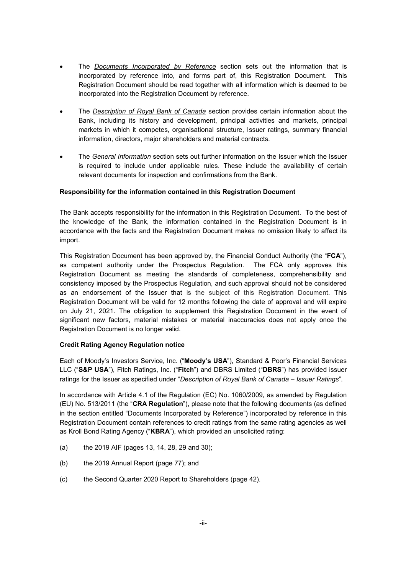- The *Documents Incorporated by Reference* section sets out the information that is incorporated by reference into, and forms part of, this Registration Document. This Registration Document should be read together with all information which is deemed to be incorporated into the Registration Document by reference.
- The *Description of Royal Bank of Canada* section provides certain information about the Bank, including its history and development, principal activities and markets, principal markets in which it competes, organisational structure, Issuer ratings, summary financial information, directors, major shareholders and material contracts.
- The *General Information* section sets out further information on the Issuer which the Issuer is required to include under applicable rules. These include the availability of certain relevant documents for inspection and confirmations from the Bank.

#### **Responsibility for the information contained in this Registration Document**

The Bank accepts responsibility for the information in this Registration Document. To the best of the knowledge of the Bank, the information contained in the Registration Document is in accordance with the facts and the Registration Document makes no omission likely to affect its import.

This Registration Document has been approved by, the Financial Conduct Authority (the "**FCA**"), as competent authority under the Prospectus Regulation. The FCA only approves this Registration Document as meeting the standards of completeness, comprehensibility and consistency imposed by the Prospectus Regulation, and such approval should not be considered as an endorsement of the Issuer that is the subject of this Registration Document. This Registration Document will be valid for 12 months following the date of approval and will expire on July 21, 2021. The obligation to supplement this Registration Document in the event of significant new factors, material mistakes or material inaccuracies does not apply once the Registration Document is no longer valid.

#### **Credit Rating Agency Regulation notice**

Each of Moody's Investors Service, Inc. ("**Moody's USA**"), Standard & Poor's Financial Services LLC ("**S&P USA**"), Fitch Ratings, Inc. ("**Fitch**") and DBRS Limited ("**DBRS**") has provided issuer ratings for the Issuer as specified under "*Description of Royal Bank of Canada – Issuer Ratings*".

In accordance with Article 4.1 of the Regulation (EC) No. 1060/2009, as amended by Regulation (EU) No. 513/2011 (the "**CRA Regulation**"), please note that the following documents (as defined in the section entitled "Documents Incorporated by Reference") incorporated by reference in this Registration Document contain references to credit ratings from the same rating agencies as well as Kroll Bond Rating Agency ("**KBRA**"), which provided an unsolicited rating:

- (a) the 2019 AIF (pages 13, 14, 28, 29 and 30);
- (b) the 2019 Annual Report (page 77); and
- (c) the Second Quarter 2020 Report to Shareholders (page 42).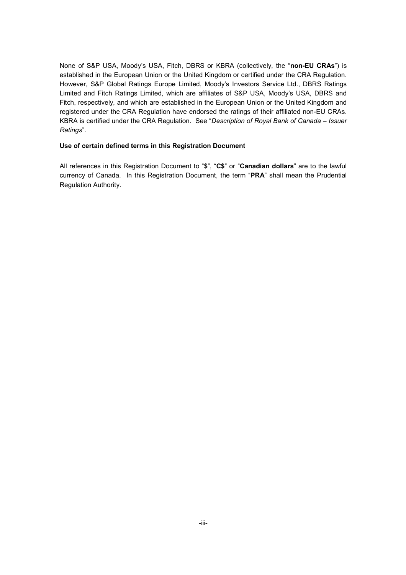None of S&P USA, Moody's USA, Fitch, DBRS or KBRA (collectively, the "**non-EU CRAs**") is established in the European Union or the United Kingdom or certified under the CRA Regulation. However, S&P Global Ratings Europe Limited, Moody's Investors Service Ltd., DBRS Ratings Limited and Fitch Ratings Limited, which are affiliates of S&P USA, Moody's USA, DBRS and Fitch, respectively, and which are established in the European Union or the United Kingdom and registered under the CRA Regulation have endorsed the ratings of their affiliated non-EU CRAs. KBRA is certified under the CRA Regulation. See "*Description of Royal Bank of Canada – Issuer Ratings*".

#### **Use of certain defined terms in this Registration Document**

All references in this Registration Document to "**\$**", "**C\$**" or "**Canadian dollars**" are to the lawful currency of Canada. In this Registration Document, the term "**PRA**" shall mean the Prudential Regulation Authority.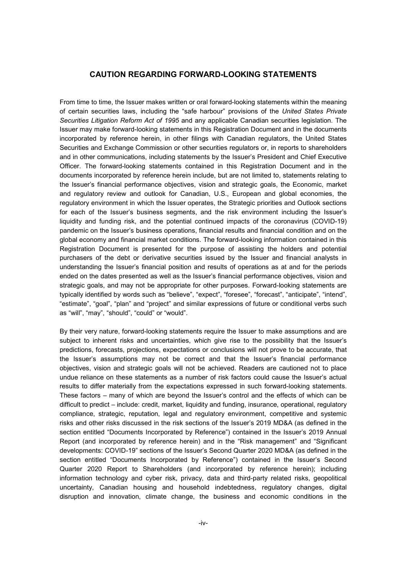#### **CAUTION REGARDING FORWARD-LOOKING STATEMENTS**

From time to time, the Issuer makes written or oral forward-looking statements within the meaning of certain securities laws, including the "safe harbour" provisions of the *United States Private Securities Litigation Reform Act of 1995* and any applicable Canadian securities legislation. The Issuer may make forward-looking statements in this Registration Document and in the documents incorporated by reference herein, in other filings with Canadian regulators, the United States Securities and Exchange Commission or other securities regulators or, in reports to shareholders and in other communications, including statements by the Issuer's President and Chief Executive Officer. The forward-looking statements contained in this Registration Document and in the documents incorporated by reference herein include, but are not limited to, statements relating to the Issuer's financial performance objectives, vision and strategic goals, the Economic, market and regulatory review and outlook for Canadian, U.S., European and global economies, the regulatory environment in which the Issuer operates, the Strategic priorities and Outlook sections for each of the Issuer's business segments, and the risk environment including the Issuer's liquidity and funding risk, and the potential continued impacts of the coronavirus (COVID-19) pandemic on the Issuer's business operations, financial results and financial condition and on the global economy and financial market conditions. The forward-looking information contained in this Registration Document is presented for the purpose of assisting the holders and potential purchasers of the debt or derivative securities issued by the Issuer and financial analysts in understanding the Issuer's financial position and results of operations as at and for the periods ended on the dates presented as well as the Issuer's financial performance objectives, vision and strategic goals, and may not be appropriate for other purposes. Forward-looking statements are typically identified by words such as "believe", "expect", "foresee", "forecast", "anticipate", "intend", "estimate", "goal", "plan" and "project" and similar expressions of future or conditional verbs such as "will", "may", "should", "could" or "would".

By their very nature, forward-looking statements require the Issuer to make assumptions and are subject to inherent risks and uncertainties, which give rise to the possibility that the Issuer's predictions, forecasts, projections, expectations or conclusions will not prove to be accurate, that the Issuer's assumptions may not be correct and that the Issuer's financial performance objectives, vision and strategic goals will not be achieved. Readers are cautioned not to place undue reliance on these statements as a number of risk factors could cause the Issuer's actual results to differ materially from the expectations expressed in such forward-looking statements. These factors – many of which are beyond the Issuer's control and the effects of which can be difficult to predict – include: credit, market, liquidity and funding, insurance, operational, regulatory compliance, strategic, reputation, legal and regulatory environment, competitive and systemic risks and other risks discussed in the risk sections of the Issuer's 2019 MD&A (as defined in the section entitled "Documents Incorporated by Reference") contained in the Issuer's 2019 Annual Report (and incorporated by reference herein) and in the "Risk management" and "Significant developments: COVID-19" sections of the Issuer's Second Quarter 2020 MD&A (as defined in the section entitled "Documents Incorporated by Reference") contained in the Issuer's Second Quarter 2020 Report to Shareholders (and incorporated by reference herein); including information technology and cyber risk, privacy, data and third-party related risks, geopolitical uncertainty, Canadian housing and household indebtedness, regulatory changes, digital disruption and innovation, climate change, the business and economic conditions in the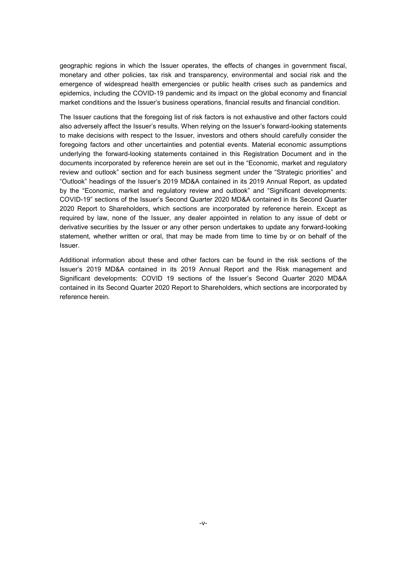geographic regions in which the Issuer operates, the effects of changes in government fiscal, monetary and other policies, tax risk and transparency, environmental and social risk and the emergence of widespread health emergencies or public health crises such as pandemics and epidemics, including the COVID-19 pandemic and its impact on the global economy and financial market conditions and the Issuer's business operations, financial results and financial condition.

The Issuer cautions that the foregoing list of risk factors is not exhaustive and other factors could also adversely affect the Issuer's results. When relying on the Issuer's forward-looking statements to make decisions with respect to the Issuer, investors and others should carefully consider the foregoing factors and other uncertainties and potential events. Material economic assumptions underlying the forward-looking statements contained in this Registration Document and in the documents incorporated by reference herein are set out in the "Economic, market and regulatory review and outlook" section and for each business segment under the "Strategic priorities" and "Outlook" headings of the Issuer's 2019 MD&A contained in its 2019 Annual Report, as updated by the "Economic, market and regulatory review and outlook" and "Significant developments: COVID-19" sections of the Issuer's Second Quarter 2020 MD&A contained in its Second Quarter 2020 Report to Shareholders, which sections are incorporated by reference herein. Except as required by law, none of the Issuer, any dealer appointed in relation to any issue of debt or derivative securities by the Issuer or any other person undertakes to update any forward-looking statement, whether written or oral, that may be made from time to time by or on behalf of the Issuer.

Additional information about these and other factors can be found in the risk sections of the Issuer's 2019 MD&A contained in its 2019 Annual Report and the Risk management and Significant developments: COVID 19 sections of the Issuer's Second Quarter 2020 MD&A contained in its Second Quarter 2020 Report to Shareholders, which sections are incorporated by reference herein.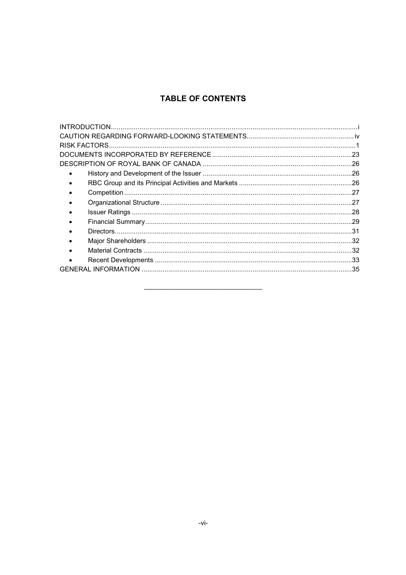# **TABLE OF CONTENTS**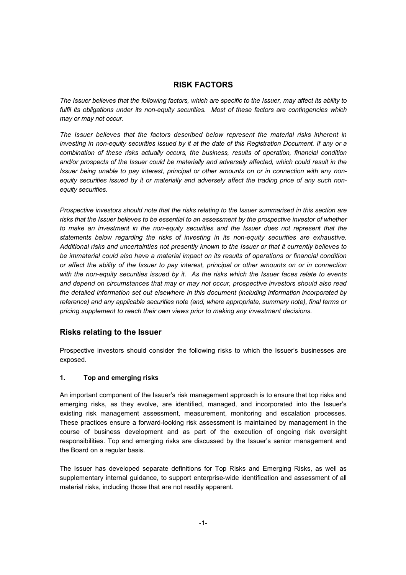### **RISK FACTORS**

*The Issuer believes that the following factors, which are specific to the Issuer, may affect its ability to fulfil its obligations under its non-equity securities. Most of these factors are contingencies which may or may not occur.*

*The Issuer believes that the factors described below represent the material risks inherent in investing in non-equity securities issued by it at the date of this Registration Document. If any or a combination of these risks actually occurs, the business, results of operation, financial condition and/or prospects of the Issuer could be materially and adversely affected, which could result in the Issuer being unable to pay interest, principal or other amounts on or in connection with any nonequity securities issued by it or materially and adversely affect the trading price of any such nonequity securities.* 

*Prospective investors should note that the risks relating to the Issuer summarised in this section are risks that the Issuer believes to be essential to an assessment by the prospective investor of whether to make an investment in the non-equity securities and the Issuer does not represent that the statements below regarding the risks of investing in its non-equity securities are exhaustive. Additional risks and uncertainties not presently known to the Issuer or that it currently believes to be immaterial could also have a material impact on its results of operations or financial condition or affect the ability of the Issuer to pay interest, principal or other amounts on or in connection with the non-equity securities issued by it. As the risks which the Issuer faces relate to events and depend on circumstances that may or may not occur, prospective investors should also read the detailed information set out elsewhere in this document (including information incorporated by reference) and any applicable securities note (and, where appropriate, summary note), final terms or pricing supplement to reach their own views prior to making any investment decisions.* 

### **Risks relating to the Issuer**

Prospective investors should consider the following risks to which the Issuer's businesses are exposed.

#### **1. Top and emerging risks**

An important component of the Issuer's risk management approach is to ensure that top risks and emerging risks, as they evolve, are identified, managed, and incorporated into the Issuer's existing risk management assessment, measurement, monitoring and escalation processes. These practices ensure a forward-looking risk assessment is maintained by management in the course of business development and as part of the execution of ongoing risk oversight responsibilities. Top and emerging risks are discussed by the Issuer's senior management and the Board on a regular basis.

The Issuer has developed separate definitions for Top Risks and Emerging Risks, as well as supplementary internal guidance, to support enterprise-wide identification and assessment of all material risks, including those that are not readily apparent.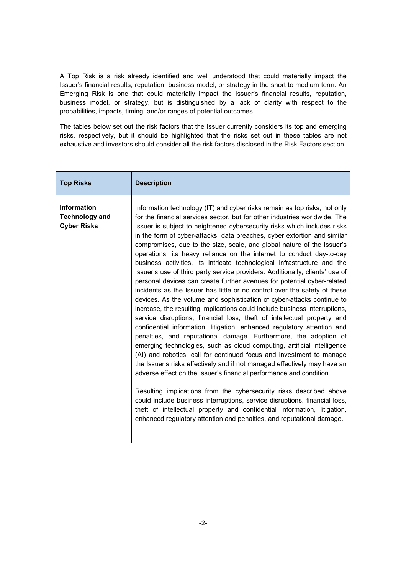A Top Risk is a risk already identified and well understood that could materially impact the Issuer's financial results, reputation, business model, or strategy in the short to medium term. An Emerging Risk is one that could materially impact the Issuer's financial results, reputation, business model, or strategy, but is distinguished by a lack of clarity with respect to the probabilities, impacts, timing, and/or ranges of potential outcomes.

The tables below set out the risk factors that the Issuer currently considers its top and emerging risks, respectively, but it should be highlighted that the risks set out in these tables are not exhaustive and investors should consider all the risk factors disclosed in the Risk Factors section.

| <b>Top Risks</b>                                                  | <b>Description</b>                                                                                                                                                                                                                                                                                                                                                                                                                                                                                                                                                                                                                                                                                                                                                                                                                                                                                                                                                                                                                                                                                                                                                                                                                                                                                                                                                                                                                                                                                                                                                                                                                                                                                                                                                                      |
|-------------------------------------------------------------------|-----------------------------------------------------------------------------------------------------------------------------------------------------------------------------------------------------------------------------------------------------------------------------------------------------------------------------------------------------------------------------------------------------------------------------------------------------------------------------------------------------------------------------------------------------------------------------------------------------------------------------------------------------------------------------------------------------------------------------------------------------------------------------------------------------------------------------------------------------------------------------------------------------------------------------------------------------------------------------------------------------------------------------------------------------------------------------------------------------------------------------------------------------------------------------------------------------------------------------------------------------------------------------------------------------------------------------------------------------------------------------------------------------------------------------------------------------------------------------------------------------------------------------------------------------------------------------------------------------------------------------------------------------------------------------------------------------------------------------------------------------------------------------------------|
| <b>Information</b><br><b>Technology and</b><br><b>Cyber Risks</b> | Information technology (IT) and cyber risks remain as top risks, not only<br>for the financial services sector, but for other industries worldwide. The<br>Issuer is subject to heightened cybersecurity risks which includes risks<br>in the form of cyber-attacks, data breaches, cyber extortion and similar<br>compromises, due to the size, scale, and global nature of the Issuer's<br>operations, its heavy reliance on the internet to conduct day-to-day<br>business activities, its intricate technological infrastructure and the<br>Issuer's use of third party service providers. Additionally, clients' use of<br>personal devices can create further avenues for potential cyber-related<br>incidents as the Issuer has little or no control over the safety of these<br>devices. As the volume and sophistication of cyber-attacks continue to<br>increase, the resulting implications could include business interruptions,<br>service disruptions, financial loss, theft of intellectual property and<br>confidential information, litigation, enhanced regulatory attention and<br>penalties, and reputational damage. Furthermore, the adoption of<br>emerging technologies, such as cloud computing, artificial intelligence<br>(AI) and robotics, call for continued focus and investment to manage<br>the Issuer's risks effectively and if not managed effectively may have an<br>adverse effect on the Issuer's financial performance and condition.<br>Resulting implications from the cybersecurity risks described above<br>could include business interruptions, service disruptions, financial loss,<br>theft of intellectual property and confidential information, litigation,<br>enhanced regulatory attention and penalties, and reputational damage. |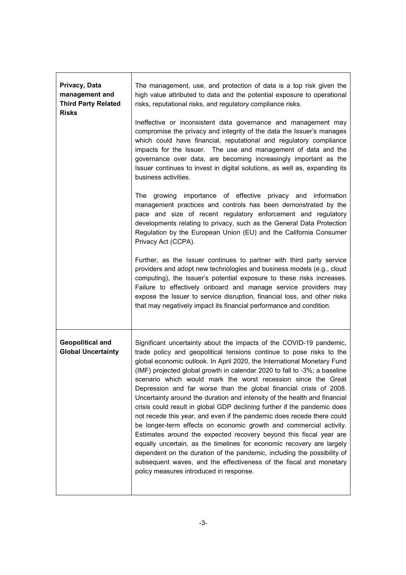| Privacy, Data<br>management and<br><b>Third Party Related</b><br><b>Risks</b> | The management, use, and protection of data is a top risk given the<br>high value attributed to data and the potential exposure to operational<br>risks, reputational risks, and regulatory compliance risks.<br>Ineffective or inconsistent data governance and management may<br>compromise the privacy and integrity of the data the Issuer's manages<br>which could have financial, reputational and regulatory compliance<br>impacts for the Issuer. The use and management of data and the<br>governance over data, are becoming increasingly important as the<br>Issuer continues to invest in digital solutions, as well as, expanding its<br>business activities.<br>growing importance of effective privacy and<br>The<br>information<br>management practices and controls has been demonstrated by the<br>pace and size of recent regulatory enforcement and regulatory<br>developments relating to privacy, such as the General Data Protection<br>Regulation by the European Union (EU) and the California Consumer<br>Privacy Act (CCPA).<br>Further, as the Issuer continues to partner with third party service<br>providers and adopt new technologies and business models (e.g., cloud<br>computing), the Issuer's potential exposure to these risks increases.<br>Failure to effectively onboard and manage service providers may<br>expose the Issuer to service disruption, financial loss, and other risks<br>that may negatively impact its financial performance and condition. |
|-------------------------------------------------------------------------------|---------------------------------------------------------------------------------------------------------------------------------------------------------------------------------------------------------------------------------------------------------------------------------------------------------------------------------------------------------------------------------------------------------------------------------------------------------------------------------------------------------------------------------------------------------------------------------------------------------------------------------------------------------------------------------------------------------------------------------------------------------------------------------------------------------------------------------------------------------------------------------------------------------------------------------------------------------------------------------------------------------------------------------------------------------------------------------------------------------------------------------------------------------------------------------------------------------------------------------------------------------------------------------------------------------------------------------------------------------------------------------------------------------------------------------------------------------------------------------------------------------|
| <b>Geopolitical and</b><br><b>Global Uncertainty</b>                          | Significant uncertainty about the impacts of the COVID-19 pandemic,<br>trade policy and geopolitical tensions continue to pose risks to the<br>global economic outlook. In April 2020, the International Monetary Fund<br>(IMF) projected global growth in calendar 2020 to fall to -3%; a baseline<br>scenario which would mark the worst recession since the Great<br>Depression and far worse than the global financial crisis of 2008.<br>Uncertainty around the duration and intensity of the health and financial<br>crisis could result in global GDP declining further if the pandemic does<br>not recede this year, and even if the pandemic does recede there could<br>be longer-term effects on economic growth and commercial activity.<br>Estimates around the expected recovery beyond this fiscal year are<br>equally uncertain, as the timelines for economic recovery are largely<br>dependent on the duration of the pandemic, including the possibility of<br>subsequent waves, and the effectiveness of the fiscal and monetary<br>policy measures introduced in response.                                                                                                                                                                                                                                                                                                                                                                                                          |

 $\overline{1}$ 

 $\overline{\phantom{a}}$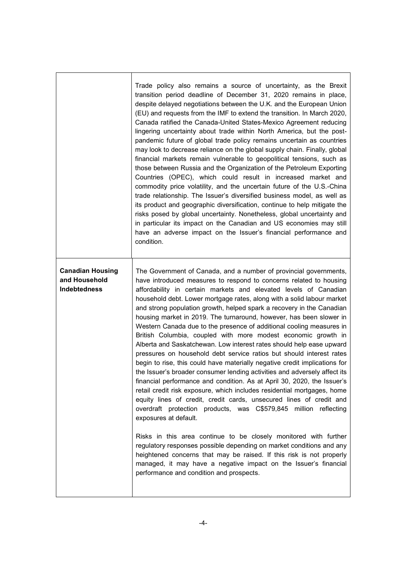|                                                          | Trade policy also remains a source of uncertainty, as the Brexit<br>transition period deadline of December 31, 2020 remains in place,<br>despite delayed negotiations between the U.K. and the European Union<br>(EU) and requests from the IMF to extend the transition. In March 2020,<br>Canada ratified the Canada-United States-Mexico Agreement reducing<br>lingering uncertainty about trade within North America, but the post-<br>pandemic future of global trade policy remains uncertain as countries<br>may look to decrease reliance on the global supply chain. Finally, global<br>financial markets remain vulnerable to geopolitical tensions, such as<br>those between Russia and the Organization of the Petroleum Exporting<br>Countries (OPEC), which could result in increased market and<br>commodity price volatility, and the uncertain future of the U.S.-China<br>trade relationship. The Issuer's diversified business model, as well as<br>its product and geographic diversification, continue to help mitigate the<br>risks posed by global uncertainty. Nonetheless, global uncertainty and<br>in particular its impact on the Canadian and US economies may still<br>have an adverse impact on the Issuer's financial performance and<br>condition.                                                                                                                                                                                                                                                                     |
|----------------------------------------------------------|---------------------------------------------------------------------------------------------------------------------------------------------------------------------------------------------------------------------------------------------------------------------------------------------------------------------------------------------------------------------------------------------------------------------------------------------------------------------------------------------------------------------------------------------------------------------------------------------------------------------------------------------------------------------------------------------------------------------------------------------------------------------------------------------------------------------------------------------------------------------------------------------------------------------------------------------------------------------------------------------------------------------------------------------------------------------------------------------------------------------------------------------------------------------------------------------------------------------------------------------------------------------------------------------------------------------------------------------------------------------------------------------------------------------------------------------------------------------------------------------------------------------------------------------------------|
| <b>Canadian Housing</b><br>and Household<br>Indebtedness | The Government of Canada, and a number of provincial governments,<br>have introduced measures to respond to concerns related to housing<br>affordability in certain markets and elevated levels of Canadian<br>household debt. Lower mortgage rates, along with a solid labour market<br>and strong population growth, helped spark a recovery in the Canadian<br>housing market in 2019. The turnaround, however, has been slower in<br>Western Canada due to the presence of additional cooling measures in<br>British Columbia, coupled with more modest economic growth in<br>Alberta and Saskatchewan. Low interest rates should help ease upward<br>pressures on household debt service ratios but should interest rates<br>begin to rise, this could have materially negative credit implications for<br>the Issuer's broader consumer lending activities and adversely affect its<br>financial performance and condition. As at April 30, 2020, the Issuer's<br>retail credit risk exposure, which includes residential mortgages, home<br>equity lines of credit, credit cards, unsecured lines of credit and<br>overdraft protection products, was C\$579,845 million reflecting<br>exposures at default.<br>Risks in this area continue to be closely monitored with further<br>regulatory responses possible depending on market conditions and any<br>heightened concerns that may be raised. If this risk is not properly<br>managed, it may have a negative impact on the Issuer's financial<br>performance and condition and prospects. |

 $\overline{1}$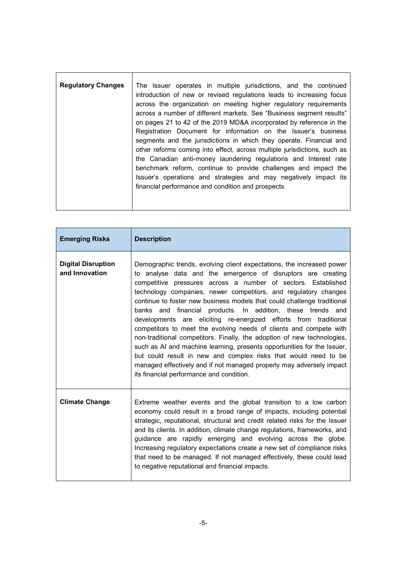| <b>Regulatory Changes</b> | The Issuer operates in multiple jurisdictions, and the continued<br>introduction of new or revised regulations leads to increasing focus<br>across the organization on meeting higher regulatory requirements<br>across a number of different markets. See "Business segment results"<br>on pages 21 to 42 of the 2019 MD&A incorporated by reference in the<br>Registration Document for information on the Issuer's business<br>segments and the jurisdictions in which they operate. Financial and<br>other reforms coming into effect, across multiple jurisdictions, such as<br>the Canadian anti-money laundering regulations and Interest rate<br>benchmark reform, continue to provide challenges and impact the<br>Issuer's operations and strategies and may negatively impact its<br>financial performance and condition and prospects. |
|---------------------------|----------------------------------------------------------------------------------------------------------------------------------------------------------------------------------------------------------------------------------------------------------------------------------------------------------------------------------------------------------------------------------------------------------------------------------------------------------------------------------------------------------------------------------------------------------------------------------------------------------------------------------------------------------------------------------------------------------------------------------------------------------------------------------------------------------------------------------------------------|

| <b>Emerging Risks</b>                       | <b>Description</b>                                                                                                                                                                                                                                                                                                                                                                                                                                                                                                                                                                                                                                                                                                                                                                                                                                                                                         |
|---------------------------------------------|------------------------------------------------------------------------------------------------------------------------------------------------------------------------------------------------------------------------------------------------------------------------------------------------------------------------------------------------------------------------------------------------------------------------------------------------------------------------------------------------------------------------------------------------------------------------------------------------------------------------------------------------------------------------------------------------------------------------------------------------------------------------------------------------------------------------------------------------------------------------------------------------------------|
| <b>Digital Disruption</b><br>and Innovation | Demographic trends, evolving client expectations, the increased power<br>to analyse data and the emergence of disruptors are creating<br>competitive pressures across a number of sectors. Established<br>technology companies, newer competitors, and regulatory changes<br>continue to foster new business models that could challenge traditional<br>banks and financial products. In addition, these trends and<br>developments are eliciting re-energized efforts from traditional<br>competitors to meet the evolving needs of clients and compete with<br>non-traditional competitors. Finally, the adoption of new technologies,<br>such as AI and machine learning, presents opportunities for the Issuer,<br>but could result in new and complex risks that would need to be<br>managed effectively and if not managed properly may adversely impact<br>its financial performance and condition. |
| <b>Climate Change</b>                       | Extreme weather events and the global transition to a low carbon<br>economy could result in a broad range of impacts, including potential<br>strategic, reputational, structural and credit related risks for the Issuer<br>and its clients. In addition, climate change regulations, frameworks, and<br>guidance are rapidly emerging and evolving across the globe.<br>Increasing regulatory expectations create a new set of compliance risks<br>that need to be managed. If not managed effectively, these could lead<br>to negative reputational and financial impacts.                                                                                                                                                                                                                                                                                                                               |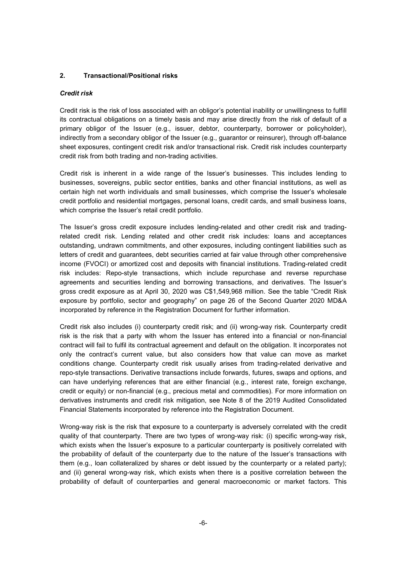#### **2. Transactional/Positional risks**

#### *Credit risk*

Credit risk is the risk of loss associated with an obligor's potential inability or unwillingness to fulfill its contractual obligations on a timely basis and may arise directly from the risk of default of a primary obligor of the Issuer (e.g., issuer, debtor, counterparty, borrower or policyholder), indirectly from a secondary obligor of the Issuer (e.g., guarantor or reinsurer), through off-balance sheet exposures, contingent credit risk and/or transactional risk. Credit risk includes counterparty credit risk from both trading and non-trading activities.

Credit risk is inherent in a wide range of the Issuer's businesses. This includes lending to businesses, sovereigns, public sector entities, banks and other financial institutions, as well as certain high net worth individuals and small businesses, which comprise the Issuer's wholesale credit portfolio and residential mortgages, personal loans, credit cards, and small business loans, which comprise the Issuer's retail credit portfolio.

The Issuer's gross credit exposure includes lending-related and other credit risk and tradingrelated credit risk. Lending related and other credit risk includes: loans and acceptances outstanding, undrawn commitments, and other exposures, including contingent liabilities such as letters of credit and guarantees, debt securities carried at fair value through other comprehensive income (FVOCI) or amortized cost and deposits with financial institutions. Trading-related credit risk includes: Repo-style transactions, which include repurchase and reverse repurchase agreements and securities lending and borrowing transactions, and derivatives. The Issuer's gross credit exposure as at April 30, 2020 was C\$1,549,968 million. See the table "Credit Risk exposure by portfolio, sector and geography" on page 26 of the Second Quarter 2020 MD&A incorporated by reference in the Registration Document for further information.

Credit risk also includes (i) counterparty credit risk; and (ii) wrong-way risk. Counterparty credit risk is the risk that a party with whom the Issuer has entered into a financial or non-financial contract will fail to fulfil its contractual agreement and default on the obligation. It incorporates not only the contract's current value, but also considers how that value can move as market conditions change. Counterparty credit risk usually arises from trading-related derivative and repo-style transactions. Derivative transactions include forwards, futures, swaps and options, and can have underlying references that are either financial (e.g., interest rate, foreign exchange, credit or equity) or non-financial (e.g., precious metal and commodities). For more information on derivatives instruments and credit risk mitigation, see Note 8 of the 2019 Audited Consolidated Financial Statements incorporated by reference into the Registration Document.

Wrong-way risk is the risk that exposure to a counterparty is adversely correlated with the credit quality of that counterparty. There are two types of wrong-way risk: (i) specific wrong-way risk, which exists when the Issuer's exposure to a particular counterparty is positively correlated with the probability of default of the counterparty due to the nature of the Issuer's transactions with them (e.g., loan collateralized by shares or debt issued by the counterparty or a related party); and (ii) general wrong-way risk, which exists when there is a positive correlation between the probability of default of counterparties and general macroeconomic or market factors. This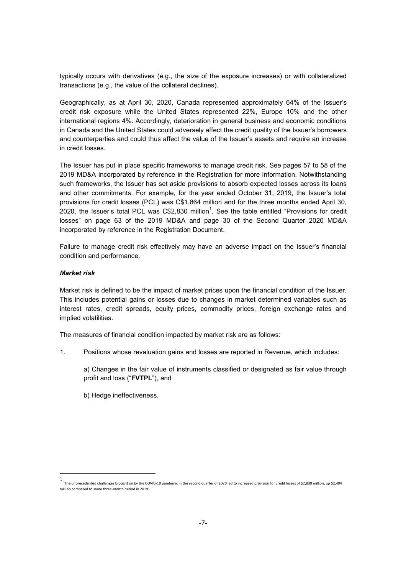typically occurs with derivatives (e.g., the size of the exposure increases) or with collateralized transactions (e.g., the value of the collateral declines).

Geographically, as at April 30, 2020, Canada represented approximately 64% of the Issuer's credit risk exposure while the United States represented 22%, Europe 10% and the other international regions 4%. Accordingly, deterioration in general business and economic conditions in Canada and the United States could adversely affect the credit quality of the Issuer's borrowers and counterparties and could thus affect the value of the Issuer's assets and require an increase in credit losses.

The Issuer has put in place specific frameworks to manage credit risk. See pages 57 to 58 of the 2019 MD&A incorporated by reference in the Registration for more information. Notwithstanding such frameworks, the Issuer has set aside provisions to absorb expected losses across its loans and other commitments. For example, for the year ended October 31, 2019, the Issuer's total provisions for credit losses (PCL) was C\$1,864 million and for the three months ended April 30, 2020, the Issuer's total PCL was C\$2,830 million<sup>1</sup>. See the table entitled "Provisions for credit losses" on page 63 of the 2019 MD&A and page 30 of the Second Quarter 2020 MD&A incorporated by reference in the Registration Document.

Failure to manage credit risk effectively may have an adverse impact on the Issuer's financial condition and performance.

#### *Market risk*

-

Market risk is defined to be the impact of market prices upon the financial condition of the Issuer. This includes potential gains or losses due to changes in market determined variables such as interest rates, credit spreads, equity prices, commodity prices, foreign exchange rates and implied volatilities.

The measures of financial condition impacted by market risk are as follows:

1. Positions whose revaluation gains and losses are reported in Revenue, which includes:

a) Changes in the fair value of instruments classified or designated as fair value through profit and loss ("**FVTPL**"), and

b) Hedge ineffectiveness.

<sup>1</sup> The unprecedented challenges brought on by the COVID-19 pandemic in the second quarter of 2020 led to increased provision for credit losses of \$2,830 million, up \$2,404 million compared to same three-month period in 2019.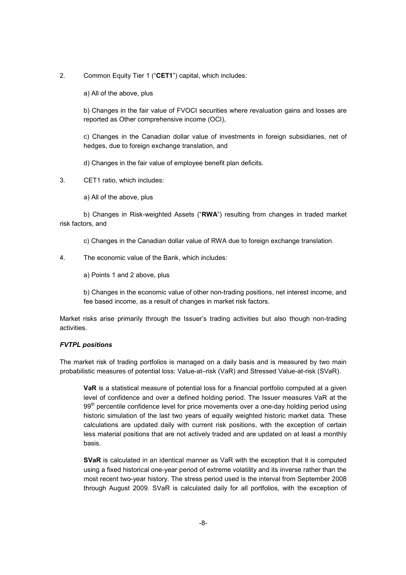2. Common Equity Tier 1 ("**CET1**") capital, which includes:

a) All of the above, plus

b) Changes in the fair value of FVOCI securities where revaluation gains and losses are reported as Other comprehensive income (OCI),

c) Changes in the Canadian dollar value of investments in foreign subsidiaries, net of hedges, due to foreign exchange translation, and

d) Changes in the fair value of employee benefit plan deficits.

3. CET1 ratio, which includes:

a) All of the above, plus

b) Changes in Risk-weighted Assets ("**RWA**") resulting from changes in traded market risk factors, and

c) Changes in the Canadian dollar value of RWA due to foreign exchange translation.

4. The economic value of the Bank, which includes:

a) Points 1 and 2 above, plus

b) Changes in the economic value of other non-trading positions, net interest income, and fee based income, as a result of changes in market risk factors.

Market risks arise primarily through the Issuer's trading activities but also though non-trading activities.

#### *FVTPL positions*

The market risk of trading portfolios is managed on a daily basis and is measured by two main probabilistic measures of potential loss: Value-at–risk (VaR) and Stressed Value-at-risk (SVaR).

**VaR** is a statistical measure of potential loss for a financial portfolio computed at a given level of confidence and over a defined holding period. The Issuer measures VaR at the 99<sup>th</sup> percentile confidence level for price movements over a one-day holding period using historic simulation of the last two years of equally weighted historic market data. These calculations are updated daily with current risk positions, with the exception of certain less material positions that are not actively traded and are updated on at least a monthly basis.

**SVaR** is calculated in an identical manner as VaR with the exception that it is computed using a fixed historical one-year period of extreme volatility and its inverse rather than the most recent two-year history. The stress period used is the interval from September 2008 through August 2009. SVaR is calculated daily for all portfolios, with the exception of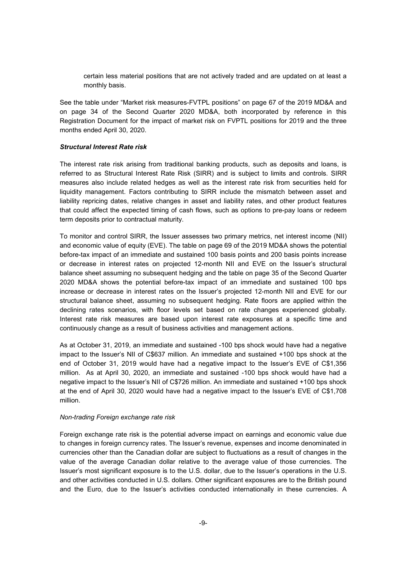certain less material positions that are not actively traded and are updated on at least a monthly basis.

See the table under "Market risk measures-FVTPL positions" on page 67 of the 2019 MD&A and on page 34 of the Second Quarter 2020 MD&A, both incorporated by reference in this Registration Document for the impact of market risk on FVPTL positions for 2019 and the three months ended April 30, 2020.

#### *Structural Interest Rate risk*

The interest rate risk arising from traditional banking products, such as deposits and loans, is referred to as Structural Interest Rate Risk (SIRR) and is subject to limits and controls. SIRR measures also include related hedges as well as the interest rate risk from securities held for liquidity management. Factors contributing to SIRR include the mismatch between asset and liability repricing dates, relative changes in asset and liability rates, and other product features that could affect the expected timing of cash flows, such as options to pre-pay loans or redeem term deposits prior to contractual maturity.

To monitor and control SIRR, the Issuer assesses two primary metrics, net interest income (NII) and economic value of equity (EVE). The table on page 69 of the 2019 MD&A shows the potential before-tax impact of an immediate and sustained 100 basis points and 200 basis points increase or decrease in interest rates on projected 12-month NII and EVE on the Issuer's structural balance sheet assuming no subsequent hedging and the table on page 35 of the Second Quarter 2020 MD&A shows the potential before-tax impact of an immediate and sustained 100 bps increase or decrease in interest rates on the Issuer's projected 12-month NII and EVE for our structural balance sheet, assuming no subsequent hedging. Rate floors are applied within the declining rates scenarios, with floor levels set based on rate changes experienced globally. Interest rate risk measures are based upon interest rate exposures at a specific time and continuously change as a result of business activities and management actions.

As at October 31, 2019, an immediate and sustained -100 bps shock would have had a negative impact to the Issuer's NII of C\$637 million. An immediate and sustained +100 bps shock at the end of October 31, 2019 would have had a negative impact to the Issuer's EVE of C\$1,356 million. As at April 30, 2020, an immediate and sustained -100 bps shock would have had a negative impact to the Issuer's NII of C\$726 million. An immediate and sustained +100 bps shock at the end of April 30, 2020 would have had a negative impact to the Issuer's EVE of C\$1,708 million.

#### *Non-trading Foreign exchange rate risk*

Foreign exchange rate risk is the potential adverse impact on earnings and economic value due to changes in foreign currency rates. The Issuer's revenue, expenses and income denominated in currencies other than the Canadian dollar are subject to fluctuations as a result of changes in the value of the average Canadian dollar relative to the average value of those currencies. The Issuer's most significant exposure is to the U.S. dollar, due to the Issuer's operations in the U.S. and other activities conducted in U.S. dollars. Other significant exposures are to the British pound and the Euro, due to the Issuer's activities conducted internationally in these currencies. A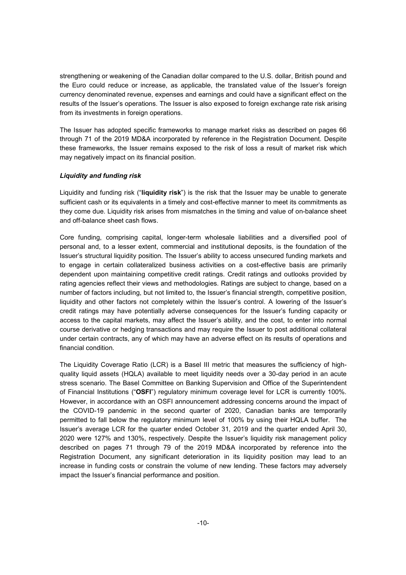strengthening or weakening of the Canadian dollar compared to the U.S. dollar, British pound and the Euro could reduce or increase, as applicable, the translated value of the Issuer's foreign currency denominated revenue, expenses and earnings and could have a significant effect on the results of the Issuer's operations. The Issuer is also exposed to foreign exchange rate risk arising from its investments in foreign operations.

The Issuer has adopted specific frameworks to manage market risks as described on pages 66 through 71 of the 2019 MD&A incorporated by reference in the Registration Document. Despite these frameworks, the Issuer remains exposed to the risk of loss a result of market risk which may negatively impact on its financial position.

#### *Liquidity and funding risk*

Liquidity and funding risk ("**liquidity risk**") is the risk that the Issuer may be unable to generate sufficient cash or its equivalents in a timely and cost-effective manner to meet its commitments as they come due. Liquidity risk arises from mismatches in the timing and value of on-balance sheet and off-balance sheet cash flows.

Core funding, comprising capital, longer-term wholesale liabilities and a diversified pool of personal and, to a lesser extent, commercial and institutional deposits, is the foundation of the Issuer's structural liquidity position. The Issuer's ability to access unsecured funding markets and to engage in certain collateralized business activities on a cost-effective basis are primarily dependent upon maintaining competitive credit ratings. Credit ratings and outlooks provided by rating agencies reflect their views and methodologies. Ratings are subject to change, based on a number of factors including, but not limited to, the Issuer's financial strength, competitive position, liquidity and other factors not completely within the Issuer's control. A lowering of the Issuer's credit ratings may have potentially adverse consequences for the Issuer's funding capacity or access to the capital markets, may affect the Issuer's ability, and the cost, to enter into normal course derivative or hedging transactions and may require the Issuer to post additional collateral under certain contracts, any of which may have an adverse effect on its results of operations and financial condition.

The Liquidity Coverage Ratio (LCR) is a Basel III metric that measures the sufficiency of highquality liquid assets (HQLA) available to meet liquidity needs over a 30-day period in an acute stress scenario. The Basel Committee on Banking Supervision and Office of the Superintendent of Financial Institutions ("**OSFI**") regulatory minimum coverage level for LCR is currently 100%. However, in accordance with an OSFI announcement addressing concerns around the impact of the COVID-19 pandemic in the second quarter of 2020, Canadian banks are temporarily permitted to fall below the regulatory minimum level of 100% by using their HQLA buffer. The Issuer's average LCR for the quarter ended October 31, 2019 and the quarter ended April 30, 2020 were 127% and 130%, respectively. Despite the Issuer's liquidity risk management policy described on pages 71 through 79 of the 2019 MD&A incorporated by reference into the Registration Document, any significant deterioration in its liquidity position may lead to an increase in funding costs or constrain the volume of new lending. These factors may adversely impact the Issuer's financial performance and position.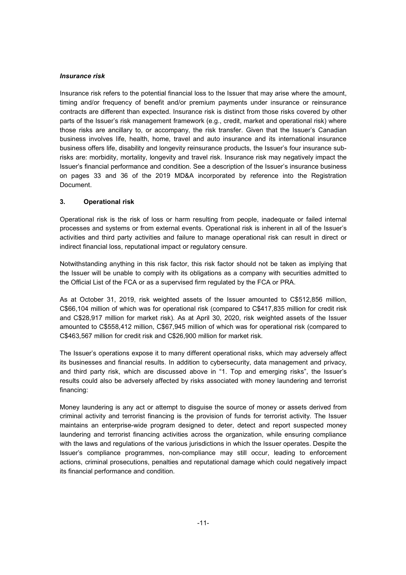#### *Insurance risk*

Insurance risk refers to the potential financial loss to the Issuer that may arise where the amount, timing and/or frequency of benefit and/or premium payments under insurance or reinsurance contracts are different than expected. Insurance risk is distinct from those risks covered by other parts of the Issuer's risk management framework (e.g., credit, market and operational risk) where those risks are ancillary to, or accompany, the risk transfer. Given that the Issuer's Canadian business involves life, health, home, travel and auto insurance and its international insurance business offers life, disability and longevity reinsurance products, the Issuer's four insurance subrisks are: morbidity, mortality, longevity and travel risk. Insurance risk may negatively impact the Issuer's financial performance and condition. See a description of the Issuer's insurance business on pages 33 and 36 of the 2019 MD&A incorporated by reference into the Registration Document.

#### **3. Operational risk**

Operational risk is the risk of loss or harm resulting from people, inadequate or failed internal processes and systems or from external events. Operational risk is inherent in all of the Issuer's activities and third party activities and failure to manage operational risk can result in direct or indirect financial loss, reputational impact or regulatory censure.

Notwithstanding anything in this risk factor, this risk factor should not be taken as implying that the Issuer will be unable to comply with its obligations as a company with securities admitted to the Official List of the FCA or as a supervised firm regulated by the FCA or PRA.

As at October 31, 2019, risk weighted assets of the Issuer amounted to C\$512,856 million, C\$66,104 million of which was for operational risk (compared to C\$417,835 million for credit risk and C\$28,917 million for market risk). As at April 30, 2020, risk weighted assets of the Issuer amounted to C\$558,412 million, C\$67,945 million of which was for operational risk (compared to C\$463,567 million for credit risk and C\$26,900 million for market risk.

The Issuer's operations expose it to many different operational risks, which may adversely affect its businesses and financial results. In addition to cybersecurity, data management and privacy, and third party risk, which are discussed above in "1. Top and emerging risks", the Issuer's results could also be adversely affected by risks associated with money laundering and terrorist financing:

Money laundering is any act or attempt to disguise the source of money or assets derived from criminal activity and terrorist financing is the provision of funds for terrorist activity. The Issuer maintains an enterprise-wide program designed to deter, detect and report suspected money laundering and terrorist financing activities across the organization, while ensuring compliance with the laws and regulations of the various jurisdictions in which the Issuer operates. Despite the Issuer's compliance programmes, non-compliance may still occur, leading to enforcement actions, criminal prosecutions, penalties and reputational damage which could negatively impact its financial performance and condition.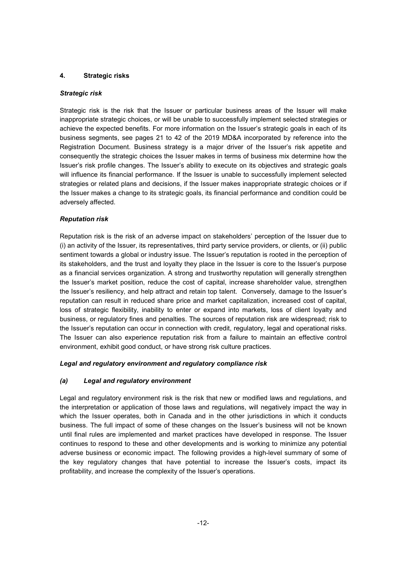#### **4. Strategic risks**

#### *Strategic risk*

Strategic risk is the risk that the Issuer or particular business areas of the Issuer will make inappropriate strategic choices, or will be unable to successfully implement selected strategies or achieve the expected benefits. For more information on the Issuer's strategic goals in each of its business segments, see pages 21 to 42 of the 2019 MD&A incorporated by reference into the Registration Document. Business strategy is a major driver of the Issuer's risk appetite and consequently the strategic choices the Issuer makes in terms of business mix determine how the Issuer's risk profile changes. The Issuer's ability to execute on its objectives and strategic goals will influence its financial performance. If the Issuer is unable to successfully implement selected strategies or related plans and decisions, if the Issuer makes inappropriate strategic choices or if the Issuer makes a change to its strategic goals, its financial performance and condition could be adversely affected.

#### *Reputation risk*

Reputation risk is the risk of an adverse impact on stakeholders' perception of the Issuer due to (i) an activity of the Issuer, its representatives, third party service providers, or clients, or (ii) public sentiment towards a global or industry issue. The Issuer's reputation is rooted in the perception of its stakeholders, and the trust and loyalty they place in the Issuer is core to the Issuer's purpose as a financial services organization. A strong and trustworthy reputation will generally strengthen the Issuer's market position, reduce the cost of capital, increase shareholder value, strengthen the Issuer's resiliency, and help attract and retain top talent. Conversely, damage to the Issuer's reputation can result in reduced share price and market capitalization, increased cost of capital, loss of strategic flexibility, inability to enter or expand into markets, loss of client loyalty and business, or regulatory fines and penalties. The sources of reputation risk are widespread; risk to the Issuer's reputation can occur in connection with credit, regulatory, legal and operational risks. The Issuer can also experience reputation risk from a failure to maintain an effective control environment, exhibit good conduct, or have strong risk culture practices.

#### *Legal and regulatory environment and regulatory compliance risk*

#### *(a) Legal and regulatory environment*

Legal and regulatory environment risk is the risk that new or modified laws and regulations, and the interpretation or application of those laws and regulations, will negatively impact the way in which the Issuer operates, both in Canada and in the other jurisdictions in which it conducts business. The full impact of some of these changes on the Issuer's business will not be known until final rules are implemented and market practices have developed in response. The Issuer continues to respond to these and other developments and is working to minimize any potential adverse business or economic impact. The following provides a high-level summary of some of the key regulatory changes that have potential to increase the Issuer's costs, impact its profitability, and increase the complexity of the Issuer's operations.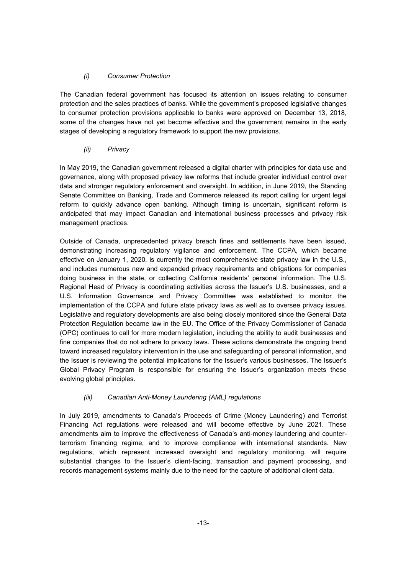#### *(i) Consumer Protection*

The Canadian federal government has focused its attention on issues relating to consumer protection and the sales practices of banks. While the government's proposed legislative changes to consumer protection provisions applicable to banks were approved on December 13, 2018, some of the changes have not yet become effective and the government remains in the early stages of developing a regulatory framework to support the new provisions.

#### *(ii) Privacy*

In May 2019, the Canadian government released a digital charter with principles for data use and governance, along with proposed privacy law reforms that include greater individual control over data and stronger regulatory enforcement and oversight. In addition, in June 2019, the Standing Senate Committee on Banking, Trade and Commerce released its report calling for urgent legal reform to quickly advance open banking. Although timing is uncertain, significant reform is anticipated that may impact Canadian and international business processes and privacy risk management practices.

Outside of Canada, unprecedented privacy breach fines and settlements have been issued, demonstrating increasing regulatory vigilance and enforcement. The CCPA, which became effective on January 1, 2020, is currently the most comprehensive state privacy law in the U.S., and includes numerous new and expanded privacy requirements and obligations for companies doing business in the state, or collecting California residents' personal information. The U.S. Regional Head of Privacy is coordinating activities across the Issuer's U.S. businesses, and a U.S. Information Governance and Privacy Committee was established to monitor the implementation of the CCPA and future state privacy laws as well as to oversee privacy issues. Legislative and regulatory developments are also being closely monitored since the General Data Protection Regulation became law in the EU. The Office of the Privacy Commissioner of Canada (OPC) continues to call for more modern legislation, including the ability to audit businesses and fine companies that do not adhere to privacy laws. These actions demonstrate the ongoing trend toward increased regulatory intervention in the use and safeguarding of personal information, and the Issuer is reviewing the potential implications for the Issuer's various businesses. The Issuer's Global Privacy Program is responsible for ensuring the Issuer's organization meets these evolving global principles.

### *(iii) Canadian Anti-Money Laundering (AML) regulations*

In July 2019, amendments to Canada's Proceeds of Crime (Money Laundering) and Terrorist Financing Act regulations were released and will become effective by June 2021. These amendments aim to improve the effectiveness of Canada's anti-money laundering and counterterrorism financing regime, and to improve compliance with international standards. New regulations, which represent increased oversight and regulatory monitoring, will require substantial changes to the Issuer's client-facing, transaction and payment processing, and records management systems mainly due to the need for the capture of additional client data.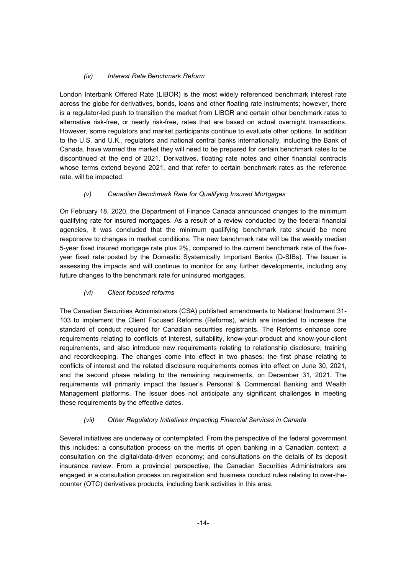#### *(iv) Interest Rate Benchmark Reform*

London Interbank Offered Rate (LIBOR) is the most widely referenced benchmark interest rate across the globe for derivatives, bonds, loans and other floating rate instruments; however, there is a regulator-led push to transition the market from LIBOR and certain other benchmark rates to alternative risk-free, or nearly risk-free, rates that are based on actual overnight transactions. However, some regulators and market participants continue to evaluate other options. In addition to the U.S. and U.K., regulators and national central banks internationally, including the Bank of Canada, have warned the market they will need to be prepared for certain benchmark rates to be discontinued at the end of 2021. Derivatives, floating rate notes and other financial contracts whose terms extend beyond 2021, and that refer to certain benchmark rates as the reference rate, will be impacted.

#### *(v) Canadian Benchmark Rate for Qualifying Insured Mortgages*

On February 18, 2020, the Department of Finance Canada announced changes to the minimum qualifying rate for insured mortgages. As a result of a review conducted by the federal financial agencies, it was concluded that the minimum qualifying benchmark rate should be more responsive to changes in market conditions. The new benchmark rate will be the weekly median 5-year fixed insured mortgage rate plus 2%, compared to the current benchmark rate of the fiveyear fixed rate posted by the Domestic Systemically Important Banks (D-SIBs). The Issuer is assessing the impacts and will continue to monitor for any further developments, including any future changes to the benchmark rate for uninsured mortgages.

#### *(vi) Client focused reforms*

The Canadian Securities Administrators (CSA) published amendments to National Instrument 31- 103 to implement the Client Focused Reforms (Reforms), which are intended to increase the standard of conduct required for Canadian securities registrants. The Reforms enhance core requirements relating to conflicts of interest, suitability, know-your-product and know-your-client requirements, and also introduce new requirements relating to relationship disclosure, training and recordkeeping. The changes come into effect in two phases: the first phase relating to conflicts of interest and the related disclosure requirements comes into effect on June 30, 2021, and the second phase relating to the remaining requirements, on December 31, 2021. The requirements will primarily impact the Issuer's Personal & Commercial Banking and Wealth Management platforms. The Issuer does not anticipate any significant challenges in meeting these requirements by the effective dates.

#### *(vii) Other Regulatory Initiatives Impacting Financial Services in Canada*

Several initiatives are underway or contemplated. From the perspective of the federal government this includes: a consultation process on the merits of open banking in a Canadian context; a consultation on the digital/data-driven economy; and consultations on the details of its deposit insurance review. From a provincial perspective, the Canadian Securities Administrators are engaged in a consultation process on registration and business conduct rules relating to over-thecounter (OTC) derivatives products, including bank activities in this area.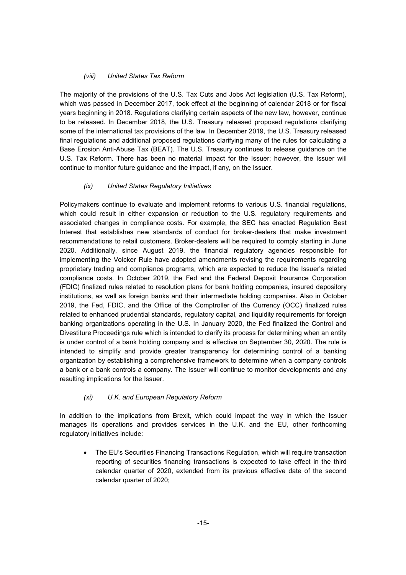#### *(viii) United States Tax Reform*

The majority of the provisions of the U.S. Tax Cuts and Jobs Act legislation (U.S. Tax Reform), which was passed in December 2017, took effect at the beginning of calendar 2018 or for fiscal years beginning in 2018. Regulations clarifying certain aspects of the new law, however, continue to be released. In December 2018, the U.S. Treasury released proposed regulations clarifying some of the international tax provisions of the law. In December 2019, the U.S. Treasury released final regulations and additional proposed regulations clarifying many of the rules for calculating a Base Erosion Anti-Abuse Tax (BEAT). The U.S. Treasury continues to release guidance on the U.S. Tax Reform. There has been no material impact for the Issuer; however, the Issuer will continue to monitor future guidance and the impact, if any, on the Issuer.

#### *(ix) United States Regulatory Initiatives*

Policymakers continue to evaluate and implement reforms to various U.S. financial regulations, which could result in either expansion or reduction to the U.S. regulatory requirements and associated changes in compliance costs. For example, the SEC has enacted Regulation Best Interest that establishes new standards of conduct for broker-dealers that make investment recommendations to retail customers. Broker-dealers will be required to comply starting in June 2020. Additionally, since August 2019, the financial regulatory agencies responsible for implementing the Volcker Rule have adopted amendments revising the requirements regarding proprietary trading and compliance programs, which are expected to reduce the Issuer's related compliance costs. In October 2019, the Fed and the Federal Deposit Insurance Corporation (FDIC) finalized rules related to resolution plans for bank holding companies, insured depository institutions, as well as foreign banks and their intermediate holding companies. Also in October 2019, the Fed, FDIC, and the Office of the Comptroller of the Currency (OCC) finalized rules related to enhanced prudential standards, regulatory capital, and liquidity requirements for foreign banking organizations operating in the U.S. In January 2020, the Fed finalized the Control and Divestiture Proceedings rule which is intended to clarify its process for determining when an entity is under control of a bank holding company and is effective on September 30, 2020. The rule is intended to simplify and provide greater transparency for determining control of a banking organization by establishing a comprehensive framework to determine when a company controls a bank or a bank controls a company. The Issuer will continue to monitor developments and any resulting implications for the Issuer.

#### *(xi) U.K. and European Regulatory Reform*

In addition to the implications from Brexit, which could impact the way in which the Issuer manages its operations and provides services in the U.K. and the EU, other forthcoming regulatory initiatives include:

• The EU's Securities Financing Transactions Regulation, which will require transaction reporting of securities financing transactions is expected to take effect in the third calendar quarter of 2020, extended from its previous effective date of the second calendar quarter of 2020;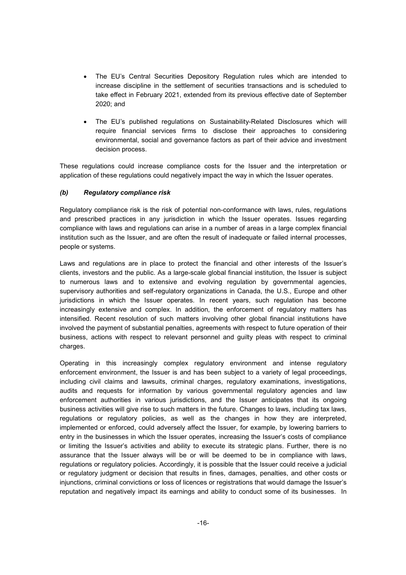- The EU's Central Securities Depository Regulation rules which are intended to increase discipline in the settlement of securities transactions and is scheduled to take effect in February 2021, extended from its previous effective date of September 2020; and
- The EU's published regulations on Sustainability-Related Disclosures which will require financial services firms to disclose their approaches to considering environmental, social and governance factors as part of their advice and investment decision process.

These regulations could increase compliance costs for the Issuer and the interpretation or application of these regulations could negatively impact the way in which the Issuer operates.

#### *(b) Regulatory compliance risk*

Regulatory compliance risk is the risk of potential non-conformance with laws, rules, regulations and prescribed practices in any jurisdiction in which the Issuer operates. Issues regarding compliance with laws and regulations can arise in a number of areas in a large complex financial institution such as the Issuer, and are often the result of inadequate or failed internal processes, people or systems.

Laws and regulations are in place to protect the financial and other interests of the Issuer's clients, investors and the public. As a large-scale global financial institution, the Issuer is subject to numerous laws and to extensive and evolving regulation by governmental agencies, supervisory authorities and self-regulatory organizations in Canada, the U.S., Europe and other jurisdictions in which the Issuer operates. In recent years, such regulation has become increasingly extensive and complex. In addition, the enforcement of regulatory matters has intensified. Recent resolution of such matters involving other global financial institutions have involved the payment of substantial penalties, agreements with respect to future operation of their business, actions with respect to relevant personnel and guilty pleas with respect to criminal charges.

Operating in this increasingly complex regulatory environment and intense regulatory enforcement environment, the Issuer is and has been subject to a variety of legal proceedings, including civil claims and lawsuits, criminal charges, regulatory examinations, investigations, audits and requests for information by various governmental regulatory agencies and law enforcement authorities in various jurisdictions, and the Issuer anticipates that its ongoing business activities will give rise to such matters in the future. Changes to laws, including tax laws, regulations or regulatory policies, as well as the changes in how they are interpreted, implemented or enforced, could adversely affect the Issuer, for example, by lowering barriers to entry in the businesses in which the Issuer operates, increasing the Issuer's costs of compliance or limiting the Issuer's activities and ability to execute its strategic plans. Further, there is no assurance that the Issuer always will be or will be deemed to be in compliance with laws, regulations or regulatory policies. Accordingly, it is possible that the Issuer could receive a judicial or regulatory judgment or decision that results in fines, damages, penalties, and other costs or injunctions, criminal convictions or loss of licences or registrations that would damage the Issuer's reputation and negatively impact its earnings and ability to conduct some of its businesses. In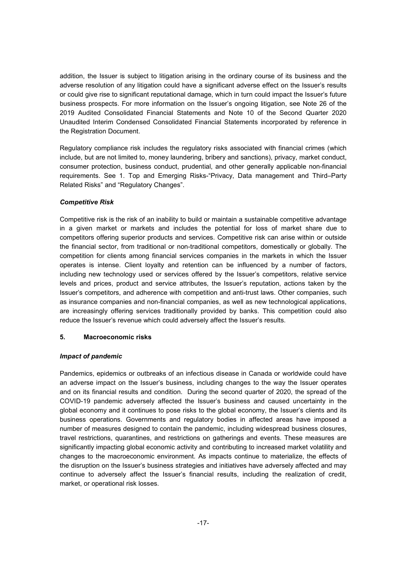addition, the Issuer is subject to litigation arising in the ordinary course of its business and the adverse resolution of any litigation could have a significant adverse effect on the Issuer's results or could give rise to significant reputational damage, which in turn could impact the Issuer's future business prospects. For more information on the Issuer's ongoing litigation, see Note 26 of the 2019 Audited Consolidated Financial Statements and Note 10 of the Second Quarter 2020 Unaudited Interim Condensed Consolidated Financial Statements incorporated by reference in the Registration Document.

Regulatory compliance risk includes the regulatory risks associated with financial crimes (which include, but are not limited to, money laundering, bribery and sanctions), privacy, market conduct, consumer protection, business conduct, prudential, and other generally applicable non-financial requirements. See 1. Top and Emerging Risks-"Privacy, Data management and Third–Party Related Risks" and "Regulatory Changes".

#### *Competitive Risk*

Competitive risk is the risk of an inability to build or maintain a sustainable competitive advantage in a given market or markets and includes the potential for loss of market share due to competitors offering superior products and services. Competitive risk can arise within or outside the financial sector, from traditional or non-traditional competitors, domestically or globally. The competition for clients among financial services companies in the markets in which the Issuer operates is intense. Client loyalty and retention can be influenced by a number of factors, including new technology used or services offered by the Issuer's competitors, relative service levels and prices, product and service attributes, the Issuer's reputation, actions taken by the Issuer's competitors, and adherence with competition and anti-trust laws. Other companies, such as insurance companies and non-financial companies, as well as new technological applications, are increasingly offering services traditionally provided by banks. This competition could also reduce the Issuer's revenue which could adversely affect the Issuer's results.

#### **5. Macroeconomic risks**

#### *Impact of pandemic*

Pandemics, epidemics or outbreaks of an infectious disease in Canada or worldwide could have an adverse impact on the Issuer's business, including changes to the way the Issuer operates and on its financial results and condition. During the second quarter of 2020, the spread of the COVID-19 pandemic adversely affected the Issuer's business and caused uncertainty in the global economy and it continues to pose risks to the global economy, the Issuer's clients and its business operations. Governments and regulatory bodies in affected areas have imposed a number of measures designed to contain the pandemic, including widespread business closures, travel restrictions, quarantines, and restrictions on gatherings and events. These measures are significantly impacting global economic activity and contributing to increased market volatility and changes to the macroeconomic environment. As impacts continue to materialize, the effects of the disruption on the Issuer's business strategies and initiatives have adversely affected and may continue to adversely affect the Issuer's financial results, including the realization of credit, market, or operational risk losses.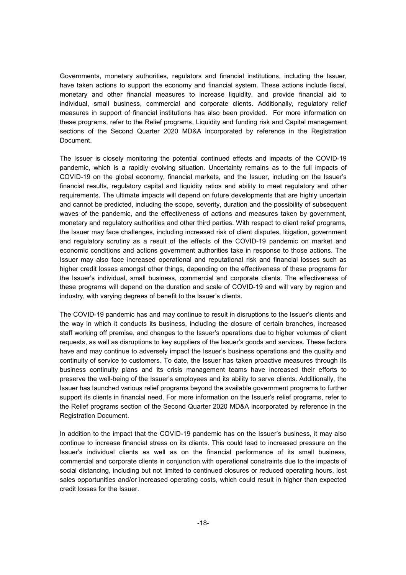Governments, monetary authorities, regulators and financial institutions, including the Issuer, have taken actions to support the economy and financial system. These actions include fiscal, monetary and other financial measures to increase liquidity, and provide financial aid to individual, small business, commercial and corporate clients. Additionally, regulatory relief measures in support of financial institutions has also been provided. For more information on these programs, refer to the Relief programs, Liquidity and funding risk and Capital management sections of the Second Quarter 2020 MD&A incorporated by reference in the Registration Document.

The Issuer is closely monitoring the potential continued effects and impacts of the COVID-19 pandemic, which is a rapidly evolving situation. Uncertainty remains as to the full impacts of COVID-19 on the global economy, financial markets, and the Issuer, including on the Issuer's financial results, regulatory capital and liquidity ratios and ability to meet regulatory and other requirements. The ultimate impacts will depend on future developments that are highly uncertain and cannot be predicted, including the scope, severity, duration and the possibility of subsequent waves of the pandemic, and the effectiveness of actions and measures taken by government, monetary and regulatory authorities and other third parties. With respect to client relief programs, the Issuer may face challenges, including increased risk of client disputes, litigation, government and regulatory scrutiny as a result of the effects of the COVID-19 pandemic on market and economic conditions and actions government authorities take in response to those actions. The Issuer may also face increased operational and reputational risk and financial losses such as higher credit losses amongst other things, depending on the effectiveness of these programs for the Issuer's individual, small business, commercial and corporate clients. The effectiveness of these programs will depend on the duration and scale of COVID-19 and will vary by region and industry, with varying degrees of benefit to the Issuer's clients.

The COVID-19 pandemic has and may continue to result in disruptions to the Issuer's clients and the way in which it conducts its business, including the closure of certain branches, increased staff working off premise, and changes to the Issuer's operations due to higher volumes of client requests, as well as disruptions to key suppliers of the Issuer's goods and services. These factors have and may continue to adversely impact the Issuer's business operations and the quality and continuity of service to customers. To date, the Issuer has taken proactive measures through its business continuity plans and its crisis management teams have increased their efforts to preserve the well-being of the Issuer's employees and its ability to serve clients. Additionally, the Issuer has launched various relief programs beyond the available government programs to further support its clients in financial need. For more information on the Issuer's relief programs, refer to the Relief programs section of the Second Quarter 2020 MD&A incorporated by reference in the Registration Document.

In addition to the impact that the COVID-19 pandemic has on the Issuer's business, it may also continue to increase financial stress on its clients. This could lead to increased pressure on the Issuer's individual clients as well as on the financial performance of its small business, commercial and corporate clients in conjunction with operational constraints due to the impacts of social distancing, including but not limited to continued closures or reduced operating hours, lost sales opportunities and/or increased operating costs, which could result in higher than expected credit losses for the Issuer.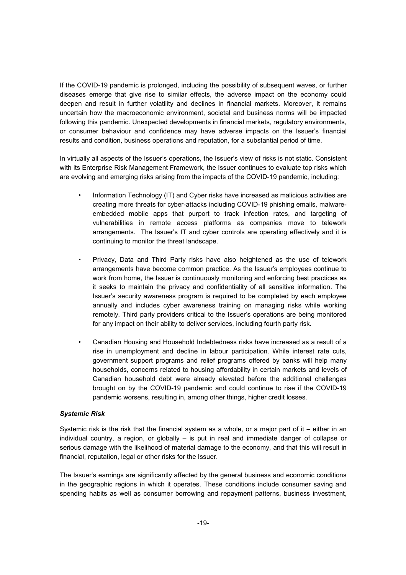If the COVID-19 pandemic is prolonged, including the possibility of subsequent waves, or further diseases emerge that give rise to similar effects, the adverse impact on the economy could deepen and result in further volatility and declines in financial markets. Moreover, it remains uncertain how the macroeconomic environment, societal and business norms will be impacted following this pandemic. Unexpected developments in financial markets, regulatory environments, or consumer behaviour and confidence may have adverse impacts on the Issuer's financial results and condition, business operations and reputation, for a substantial period of time.

In virtually all aspects of the Issuer's operations, the Issuer's view of risks is not static. Consistent with its Enterprise Risk Management Framework, the Issuer continues to evaluate top risks which are evolving and emerging risks arising from the impacts of the COVID-19 pandemic, including:

- Information Technology (IT) and Cyber risks have increased as malicious activities are creating more threats for cyber-attacks including COVID-19 phishing emails, malwareembedded mobile apps that purport to track infection rates, and targeting of vulnerabilities in remote access platforms as companies move to telework arrangements. The Issuer's IT and cyber controls are operating effectively and it is continuing to monitor the threat landscape.
- Privacy, Data and Third Party risks have also heightened as the use of telework arrangements have become common practice. As the Issuer's employees continue to work from home, the Issuer is continuously monitoring and enforcing best practices as it seeks to maintain the privacy and confidentiality of all sensitive information. The Issuer's security awareness program is required to be completed by each employee annually and includes cyber awareness training on managing risks while working remotely. Third party providers critical to the Issuer's operations are being monitored for any impact on their ability to deliver services, including fourth party risk.
- Canadian Housing and Household Indebtedness risks have increased as a result of a rise in unemployment and decline in labour participation. While interest rate cuts, government support programs and relief programs offered by banks will help many households, concerns related to housing affordability in certain markets and levels of Canadian household debt were already elevated before the additional challenges brought on by the COVID-19 pandemic and could continue to rise if the COVID-19 pandemic worsens, resulting in, among other things, higher credit losses.

#### *Systemic Risk*

Systemic risk is the risk that the financial system as a whole, or a major part of it – either in an individual country, a region, or globally – is put in real and immediate danger of collapse or serious damage with the likelihood of material damage to the economy, and that this will result in financial, reputation, legal or other risks for the Issuer.

The Issuer's earnings are significantly affected by the general business and economic conditions in the geographic regions in which it operates. These conditions include consumer saving and spending habits as well as consumer borrowing and repayment patterns, business investment,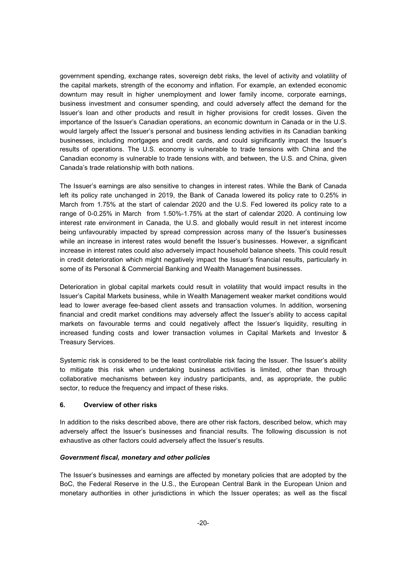government spending, exchange rates, sovereign debt risks, the level of activity and volatility of the capital markets, strength of the economy and inflation. For example, an extended economic downturn may result in higher unemployment and lower family income, corporate earnings, business investment and consumer spending, and could adversely affect the demand for the Issuer's loan and other products and result in higher provisions for credit losses. Given the importance of the Issuer's Canadian operations, an economic downturn in Canada or in the U.S. would largely affect the Issuer's personal and business lending activities in its Canadian banking businesses, including mortgages and credit cards, and could significantly impact the Issuer's results of operations. The U.S. economy is vulnerable to trade tensions with China and the Canadian economy is vulnerable to trade tensions with, and between, the U.S. and China, given Canada's trade relationship with both nations.

The Issuer's earnings are also sensitive to changes in interest rates. While the Bank of Canada left its policy rate unchanged in 2019, the Bank of Canada lowered its policy rate to 0.25% in March from 1.75% at the start of calendar 2020 and the U.S. Fed lowered its policy rate to a range of 0-0.25% in March from 1.50%-1.75% at the start of calendar 2020. A continuing low interest rate environment in Canada, the U.S. and globally would result in net interest income being unfavourably impacted by spread compression across many of the Issuer's businesses while an increase in interest rates would benefit the Issuer's businesses. However, a significant increase in interest rates could also adversely impact household balance sheets. This could result in credit deterioration which might negatively impact the Issuer's financial results, particularly in some of its Personal & Commercial Banking and Wealth Management businesses.

Deterioration in global capital markets could result in volatility that would impact results in the Issuer's Capital Markets business, while in Wealth Management weaker market conditions would lead to lower average fee-based client assets and transaction volumes. In addition, worsening financial and credit market conditions may adversely affect the Issuer's ability to access capital markets on favourable terms and could negatively affect the Issuer's liquidity, resulting in increased funding costs and lower transaction volumes in Capital Markets and Investor & Treasury Services.

Systemic risk is considered to be the least controllable risk facing the Issuer. The Issuer's ability to mitigate this risk when undertaking business activities is limited, other than through collaborative mechanisms between key industry participants, and, as appropriate, the public sector, to reduce the frequency and impact of these risks.

#### **6. Overview of other risks**

In addition to the risks described above, there are other risk factors, described below, which may adversely affect the Issuer's businesses and financial results. The following discussion is not exhaustive as other factors could adversely affect the Issuer's results.

#### *Government fiscal, monetary and other policies*

The Issuer's businesses and earnings are affected by monetary policies that are adopted by the BoC, the Federal Reserve in the U.S., the European Central Bank in the European Union and monetary authorities in other jurisdictions in which the Issuer operates; as well as the fiscal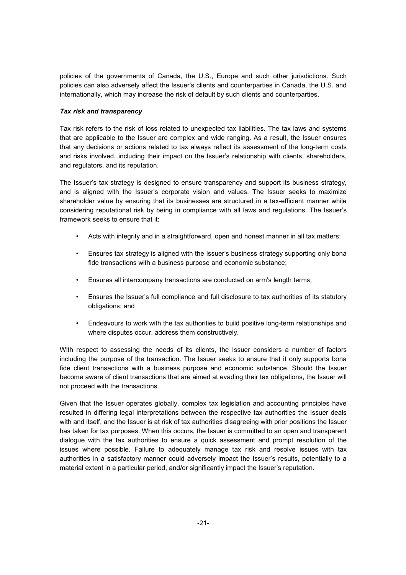policies of the governments of Canada, the U.S., Europe and such other jurisdictions. Such policies can also adversely affect the Issuer's clients and counterparties in Canada, the U.S. and internationally, which may increase the risk of default by such clients and counterparties.

#### *Tax risk and transparency*

Tax risk refers to the risk of loss related to unexpected tax liabilities. The tax laws and systems that are applicable to the Issuer are complex and wide ranging. As a result, the Issuer ensures that any decisions or actions related to tax always reflect its assessment of the long-term costs and risks involved, including their impact on the Issuer's relationship with clients, shareholders, and regulators, and its reputation.

The Issuer's tax strategy is designed to ensure transparency and support its business strategy, and is aligned with the Issuer's corporate vision and values. The Issuer seeks to maximize shareholder value by ensuring that its businesses are structured in a tax-efficient manner while considering reputational risk by being in compliance with all laws and regulations. The Issuer's framework seeks to ensure that it:

- Acts with integrity and in a straightforward, open and honest manner in all tax matters;
- Ensures tax strategy is aligned with the Issuer's business strategy supporting only bona fide transactions with a business purpose and economic substance;
- Ensures all intercompany transactions are conducted on arm's length terms;
- Ensures the Issuer's full compliance and full disclosure to tax authorities of its statutory obligations; and
- Endeavours to work with the tax authorities to build positive long-term relationships and where disputes occur, address them constructively.

With respect to assessing the needs of its clients, the Issuer considers a number of factors including the purpose of the transaction. The Issuer seeks to ensure that it only supports bona fide client transactions with a business purpose and economic substance. Should the Issuer become aware of client transactions that are aimed at evading their tax obligations, the Issuer will not proceed with the transactions.

Given that the Issuer operates globally, complex tax legislation and accounting principles have resulted in differing legal interpretations between the respective tax authorities the Issuer deals with and itself, and the Issuer is at risk of tax authorities disagreeing with prior positions the Issuer has taken for tax purposes. When this occurs, the Issuer is committed to an open and transparent dialogue with the tax authorities to ensure a quick assessment and prompt resolution of the issues where possible. Failure to adequately manage tax risk and resolve issues with tax authorities in a satisfactory manner could adversely impact the Issuer's results, potentially to a material extent in a particular period, and/or significantly impact the Issuer's reputation.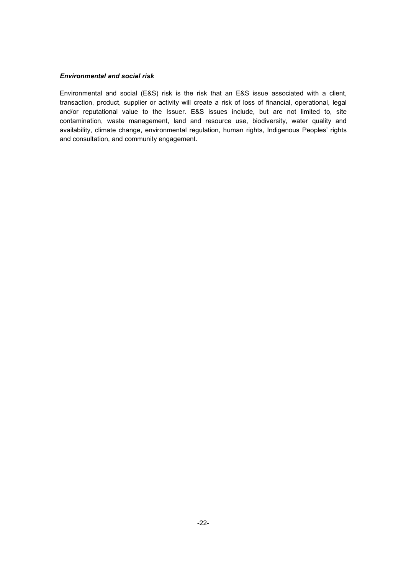#### *Environmental and social risk*

Environmental and social (E&S) risk is the risk that an E&S issue associated with a client, transaction, product, supplier or activity will create a risk of loss of financial, operational, legal and/or reputational value to the Issuer. E&S issues include, but are not limited to, site contamination, waste management, land and resource use, biodiversity, water quality and availability, climate change, environmental regulation, human rights, Indigenous Peoples' rights and consultation, and community engagement.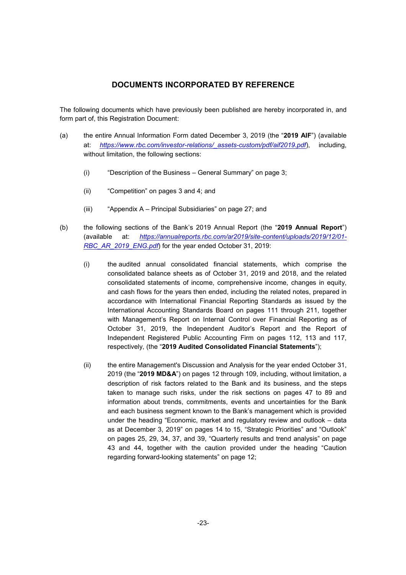# **DOCUMENTS INCORPORATED BY REFERENCE**

The following documents which have previously been published are hereby incorporated in, and form part of, this Registration Document:

- (a) the entire Annual Information Form dated December 3, 2019 (the "**2019 AIF**") (available at: *https://www.rbc.com/investor-relations/\_assets-custom/pdf/aif2019.pdf*), including, without limitation, the following sections:
	- (i) "Description of the Business General Summary" on page 3;
	- (ii) "Competition" on pages 3 and 4; and
	- (iii) "Appendix A Principal Subsidiaries" on page 27; and
- (b) the following sections of the Bank's 2019 Annual Report (the "**2019 Annual Report**") (available at: *https://annualreports.rbc.com/ar2019/site-content/uploads/2019/12/01- RBC\_AR\_2019\_ENG.pdf*) for the year ended October 31, 2019:
	- (i) the audited annual consolidated financial statements, which comprise the consolidated balance sheets as of October 31, 2019 and 2018, and the related consolidated statements of income, comprehensive income, changes in equity, and cash flows for the years then ended, including the related notes, prepared in accordance with International Financial Reporting Standards as issued by the International Accounting Standards Board on pages 111 through 211, together with Management's Report on Internal Control over Financial Reporting as of October 31, 2019, the Independent Auditor's Report and the Report of Independent Registered Public Accounting Firm on pages 112, 113 and 117, respectively, (the "**2019 Audited Consolidated Financial Statements**");
	- (ii) the entire Management's Discussion and Analysis for the year ended October 31, 2019 (the "**2019 MD&A**") on pages 12 through 109, including, without limitation, a description of risk factors related to the Bank and its business, and the steps taken to manage such risks, under the risk sections on pages 47 to 89 and information about trends, commitments, events and uncertainties for the Bank and each business segment known to the Bank's management which is provided under the heading "Economic, market and regulatory review and outlook – data as at December 3, 2019" on pages 14 to 15, "Strategic Priorities" and "Outlook" on pages 25, 29, 34, 37, and 39, "Quarterly results and trend analysis" on page 43 and 44, together with the caution provided under the heading "Caution regarding forward-looking statements" on page 12;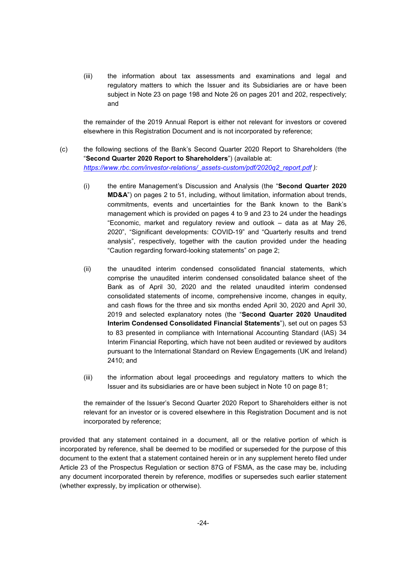(iii) the information about tax assessments and examinations and legal and regulatory matters to which the Issuer and its Subsidiaries are or have been subject in Note 23 on page 198 and Note 26 on pages 201 and 202, respectively; and

the remainder of the 2019 Annual Report is either not relevant for investors or covered elsewhere in this Registration Document and is not incorporated by reference;

- (c) the following sections of the Bank's Second Quarter 2020 Report to Shareholders (the "**Second Quarter 2020 Report to Shareholders**") (available at: *https://www.rbc.com/investor-relations/\_assets-custom/pdf/2020q2\_report.pdf ):*
	- (i) the entire Management's Discussion and Analysis (the "**Second Quarter 2020 MD&A**") on pages 2 to 51, including, without limitation, information about trends, commitments, events and uncertainties for the Bank known to the Bank's management which is provided on pages 4 to 9 and 23 to 24 under the headings "Economic, market and regulatory review and outlook – data as at May 26, 2020", "Significant developments: COVID-19" and "Quarterly results and trend analysis", respectively, together with the caution provided under the heading "Caution regarding forward-looking statements" on page 2;
	- (ii) the unaudited interim condensed consolidated financial statements, which comprise the unaudited interim condensed consolidated balance sheet of the Bank as of April 30, 2020 and the related unaudited interim condensed consolidated statements of income, comprehensive income, changes in equity, and cash flows for the three and six months ended April 30, 2020 and April 30, 2019 and selected explanatory notes (the "**Second Quarter 2020 Unaudited Interim Condensed Consolidated Financial Statements**"), set out on pages 53 to 83 presented in compliance with International Accounting Standard (IAS) 34 Interim Financial Reporting, which have not been audited or reviewed by auditors pursuant to the International Standard on Review Engagements (UK and Ireland) 2410; and
	- (iii) the information about legal proceedings and regulatory matters to which the Issuer and its subsidiaries are or have been subject in Note 10 on page 81;

the remainder of the Issuer's Second Quarter 2020 Report to Shareholders either is not relevant for an investor or is covered elsewhere in this Registration Document and is not incorporated by reference;

 provided that any statement contained in a document, all or the relative portion of which is incorporated by reference, shall be deemed to be modified or superseded for the purpose of this document to the extent that a statement contained herein or in any supplement hereto filed under Article 23 of the Prospectus Regulation or section 87G of FSMA, as the case may be, including any document incorporated therein by reference, modifies or supersedes such earlier statement (whether expressly, by implication or otherwise).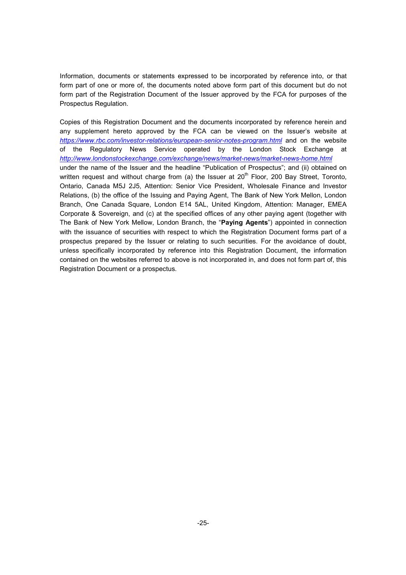Information, documents or statements expressed to be incorporated by reference into, or that form part of one or more of, the documents noted above form part of this document but do not form part of the Registration Document of the Issuer approved by the FCA for purposes of the Prospectus Regulation.

Copies of this Registration Document and the documents incorporated by reference herein and any supplement hereto approved by the FCA can be viewed on the Issuer's website at *https://www.rbc.com/investor-relations/european-senior-notes-program.html* and on the website of the Regulatory News Service operated by the London Stock Exchange at *http://www.londonstockexchange.com/exchange/news/market-news/market-news-home.html* under the name of the Issuer and the headline "Publication of Prospectus"; and (ii) obtained on written request and without charge from (a) the Issuer at  $20<sup>th</sup>$  Floor, 200 Bay Street, Toronto, Ontario, Canada M5J 2J5, Attention: Senior Vice President, Wholesale Finance and Investor Relations, (b) the office of the Issuing and Paying Agent, The Bank of New York Mellon, London Branch, One Canada Square, London E14 5AL, United Kingdom, Attention: Manager, EMEA Corporate & Sovereign, and (c) at the specified offices of any other paying agent (together with The Bank of New York Mellow, London Branch, the "**Paying Agents**") appointed in connection with the issuance of securities with respect to which the Registration Document forms part of a prospectus prepared by the Issuer or relating to such securities. For the avoidance of doubt, unless specifically incorporated by reference into this Registration Document, the information contained on the websites referred to above is not incorporated in, and does not form part of, this Registration Document or a prospectus.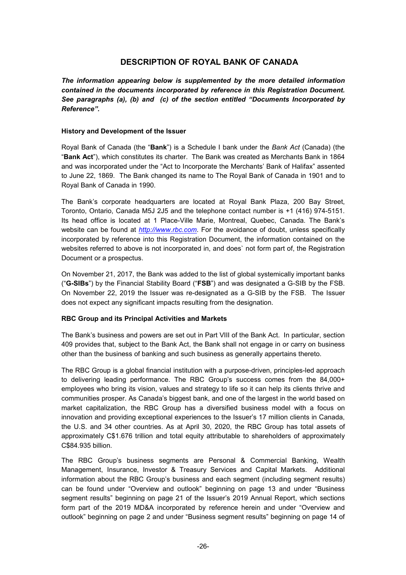# **DESCRIPTION OF ROYAL BANK OF CANADA**

*The information appearing below is supplemented by the more detailed information contained in the documents incorporated by reference in this Registration Document. See paragraphs (a), (b) and (c) of the section entitled "Documents Incorporated by Reference".* 

#### **History and Development of the Issuer**

Royal Bank of Canada (the "**Bank**") is a Schedule I bank under the *Bank Act* (Canada) (the "**Bank Act**"), which constitutes its charter. The Bank was created as Merchants Bank in 1864 and was incorporated under the "Act to Incorporate the Merchants' Bank of Halifax" assented to June 22, 1869. The Bank changed its name to The Royal Bank of Canada in 1901 and to Royal Bank of Canada in 1990.

The Bank's corporate headquarters are located at Royal Bank Plaza, 200 Bay Street, Toronto, Ontario, Canada M5J 2J5 and the telephone contact number is +1 (416) 974-5151. Its head office is located at 1 Place-Ville Marie, Montreal, Quebec, Canada. The Bank's website can be found at *http://www.rbc.com*. For the avoidance of doubt, unless specifically incorporated by reference into this Registration Document, the information contained on the websites referred to above is not incorporated in, and does` not form part of, the Registration Document or a prospectus.

On November 21, 2017, the Bank was added to the list of global systemically important banks ("**G-SIBs**") by the Financial Stability Board ("**FSB**") and was designated a G-SIB by the FSB. On November 22, 2019 the Issuer was re-designated as a G-SIB by the FSB. The Issuer does not expect any significant impacts resulting from the designation.

#### **RBC Group and its Principal Activities and Markets**

The Bank's business and powers are set out in Part VIII of the Bank Act. In particular, section 409 provides that, subject to the Bank Act, the Bank shall not engage in or carry on business other than the business of banking and such business as generally appertains thereto.

The RBC Group is a global financial institution with a purpose-driven, principles-led approach to delivering leading performance. The RBC Group's success comes from the 84,000+ employees who bring its vision, values and strategy to life so it can help its clients thrive and communities prosper. As Canada's biggest bank, and one of the largest in the world based on market capitalization, the RBC Group has a diversified business model with a focus on innovation and providing exceptional experiences to the Issuer's 17 million clients in Canada, the U.S. and 34 other countries. As at April 30, 2020, the RBC Group has total assets of approximately C\$1.676 trillion and total equity attributable to shareholders of approximately C\$84.935 billion.

The RBC Group's business segments are Personal & Commercial Banking, Wealth Management, Insurance, Investor & Treasury Services and Capital Markets. Additional information about the RBC Group's business and each segment (including segment results) can be found under "Overview and outlook" beginning on page 13 and under "Business segment results" beginning on page 21 of the Issuer's 2019 Annual Report, which sections form part of the 2019 MD&A incorporated by reference herein and under "Overview and outlook" beginning on page 2 and under "Business segment results" beginning on page 14 of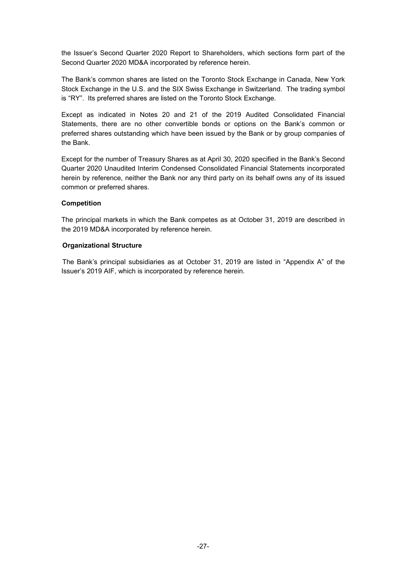the Issuer's Second Quarter 2020 Report to Shareholders, which sections form part of the Second Quarter 2020 MD&A incorporated by reference herein.

The Bank's common shares are listed on the Toronto Stock Exchange in Canada, New York Stock Exchange in the U.S. and the SIX Swiss Exchange in Switzerland. The trading symbol is "RY". Its preferred shares are listed on the Toronto Stock Exchange.

Except as indicated in Notes 20 and 21 of the 2019 Audited Consolidated Financial Statements, there are no other convertible bonds or options on the Bank's common or preferred shares outstanding which have been issued by the Bank or by group companies of the Bank.

Except for the number of Treasury Shares as at April 30, 2020 specified in the Bank's Second Quarter 2020 Unaudited Interim Condensed Consolidated Financial Statements incorporated herein by reference, neither the Bank nor any third party on its behalf owns any of its issued common or preferred shares.

#### **Competition**

The principal markets in which the Bank competes as at October 31, 2019 are described in the 2019 MD&A incorporated by reference herein.

#### **Organizational Structure**

The Bank's principal subsidiaries as at October 31, 2019 are listed in "Appendix A" of the Issuer's 2019 AIF, which is incorporated by reference herein.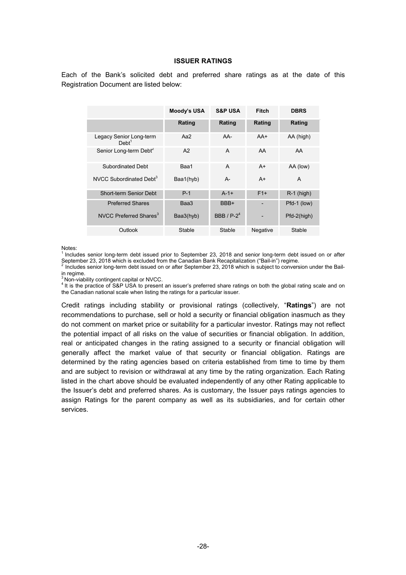#### **ISSUER RATINGS**

Each of the Bank's solicited debt and preferred share ratings as at the date of this Registration Document are listed below:

|                                              | Moody's USA | <b>S&amp;P USA</b> | Fitch    | <b>DBRS</b>   |
|----------------------------------------------|-------------|--------------------|----------|---------------|
|                                              | Rating      | Rating             | Rating   | Rating        |
| Legacy Senior Long-term<br>Debt <sup>1</sup> | Aa $2$      | $AA-$              | $AA+$    | AA (high)     |
| Senior Long-term Debt <sup>2</sup>           | A2          | A                  | AA       | AA            |
| Subordinated Debt                            | Baa1        | A                  | $A+$     | AA (low)      |
| NVCC Subordinated Debt <sup>3</sup>          | Baa1(hyb)   | $A -$              | $A+$     | A             |
| Short-term Senior Debt                       | $P-1$       | $A - 1 +$          | $F1+$    | $R-1$ (high)  |
| <b>Preferred Shares</b>                      | Baa3        | BBB+               |          | Pfd-1 (low)   |
| NVCC Preferred Shares <sup>3</sup>           | Baa3(hyb)   | BBB $/ P - 24$     |          | $Pfd-2(high)$ |
| Outlook                                      | Stable      | Stable             | Negative | Stable        |

Notes:

<sup>1</sup> Includes senior long-term debt issued prior to September 23, 2018 and senior long-term debt issued on or after

September 23, 2018 which is excluded from the Canadian Bank Recapitalization ("Bail-in") regime.<br><sup>2</sup> Includes senior long-term debt issued on or after September 23, 2018 which is subject to conversion under the Bail-

in regime.<br><sup>3</sup> Non-viability contingent capital or NVCC.

4 It is the practice of S&P USA to present an issuer's preferred share ratings on both the global rating scale and on the Canadian national scale when listing the ratings for a particular issuer.

Credit ratings including stability or provisional ratings (collectively, "**Ratings**") are not recommendations to purchase, sell or hold a security or financial obligation inasmuch as they do not comment on market price or suitability for a particular investor. Ratings may not reflect the potential impact of all risks on the value of securities or financial obligation. In addition, real or anticipated changes in the rating assigned to a security or financial obligation will generally affect the market value of that security or financial obligation. Ratings are determined by the rating agencies based on criteria established from time to time by them and are subject to revision or withdrawal at any time by the rating organization. Each Rating listed in the chart above should be evaluated independently of any other Rating applicable to the Issuer's debt and preferred shares. As is customary, the Issuer pays ratings agencies to assign Ratings for the parent company as well as its subsidiaries, and for certain other services.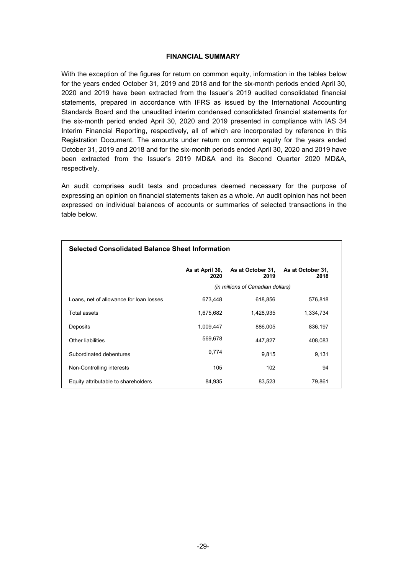#### **FINANCIAL SUMMARY**

With the exception of the figures for return on common equity, information in the tables below for the years ended October 31, 2019 and 2018 and for the six-month periods ended April 30, 2020 and 2019 have been extracted from the Issuer's 2019 audited consolidated financial statements, prepared in accordance with IFRS as issued by the International Accounting Standards Board and the unaudited interim condensed consolidated financial statements for the six-month period ended April 30, 2020 and 2019 presented in compliance with IAS 34 Interim Financial Reporting, respectively, all of which are incorporated by reference in this Registration Document. The amounts under return on common equity for the years ended October 31, 2019 and 2018 and for the six-month periods ended April 30, 2020 and 2019 have been extracted from the Issuer's 2019 MD&A and its Second Quarter 2020 MD&A, respectively.

An audit comprises audit tests and procedures deemed necessary for the purpose of expressing an opinion on financial statements taken as a whole. An audit opinion has not been expressed on individual balances of accounts or summaries of selected transactions in the table below.

| <b>Selected Consolidated Balance Sheet Information</b> |                                   |                           |                           |
|--------------------------------------------------------|-----------------------------------|---------------------------|---------------------------|
|                                                        | As at April 30,<br>2020           | As at October 31,<br>2019 | As at October 31,<br>2018 |
|                                                        | (in millions of Canadian dollars) |                           |                           |
| Loans, net of allowance for loan losses                | 673,448                           | 618,856                   | 576,818                   |
| Total assets                                           | 1,675,682                         | 1,428,935                 | 1,334,734                 |
| Deposits                                               | 1,009,447                         | 886,005                   | 836,197                   |
| Other liabilities                                      | 569,678                           | 447,827                   | 408,083                   |
| Subordinated debentures                                | 9.774                             | 9.815                     | 9,131                     |
| Non-Controlling interests                              | 105                               | 102                       | 94                        |
| Equity attributable to shareholders                    | 84,935                            | 83,523                    | 79,861                    |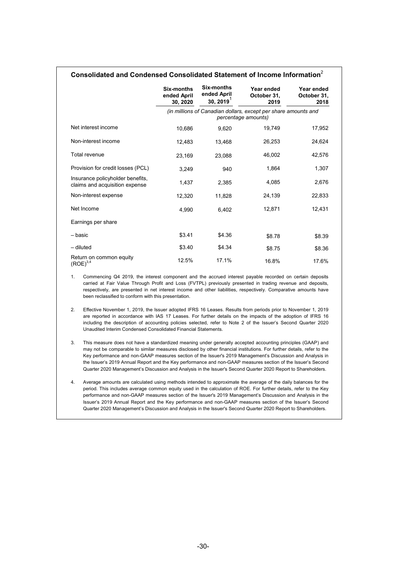| Consolidated and Condensed Consolidated Statement of Income Information <sup>2</sup> |                                       |                                       |                                                                                       |                                   |
|--------------------------------------------------------------------------------------|---------------------------------------|---------------------------------------|---------------------------------------------------------------------------------------|-----------------------------------|
|                                                                                      | Six-months<br>ended April<br>30, 2020 | Six-months<br>ended April<br>30, 2019 | Year ended<br>October 31,<br>2019                                                     | Year ended<br>October 31,<br>2018 |
|                                                                                      |                                       |                                       | (in millions of Canadian dollars, except per share amounts and<br>percentage amounts) |                                   |
| Net interest income                                                                  | 10.686                                | 9,620                                 | 19,749                                                                                | 17,952                            |
| Non-interest income                                                                  | 12.483                                | 13.468                                | 26,253                                                                                | 24,624                            |
| Total revenue                                                                        | 23,169                                | 23,088                                | 46,002                                                                                | 42,576                            |
| Provision for credit losses (PCL)                                                    | 3.249                                 | 940                                   | 1,864                                                                                 | 1,307                             |
| Insurance policyholder benefits,<br>claims and acquisition expense                   | 1,437                                 | 2,385                                 | 4,085                                                                                 | 2,676                             |
| Non-interest expense                                                                 | 12,320                                | 11,828                                | 24,139                                                                                | 22,833                            |
| Net Income                                                                           | 4.990                                 | 6,402                                 | 12,871                                                                                | 12,431                            |
| Earnings per share                                                                   |                                       |                                       |                                                                                       |                                   |
| - basic                                                                              | \$3.41                                | \$4.36                                | \$8.78                                                                                | \$8.39                            |
| - diluted                                                                            | \$3.40                                | \$4.34                                | \$8.75                                                                                | \$8.36                            |
| Return on common equity<br>$(ROE)^{3,4}$                                             | 12.5%                                 | 17.1%                                 | 16.8%                                                                                 | 17.6%                             |

1. Commencing Q4 2019, the interest component and the accrued interest payable recorded on certain deposits carried at Fair Value Through Profit and Loss (FVTPL) previously presented in trading revenue and deposits, respectively, are presented in net interest income and other liabilities, respectively. Comparative amounts have been reclassified to conform with this presentation.

2. Effective November 1, 2019, the Issuer adopted IFRS 16 Leases. Results from periods prior to November 1, 2019 are reported in accordance with IAS 17 Leases. For further details on the impacts of the adoption of IFRS 16 including the description of accounting policies selected, refer to Note 2 of the Issuer's Second Quarter 2020 Unaudited Interim Condensed Consolidated Financial Statements.

3. This measure does not have a standardized meaning under generally accepted accounting principles (GAAP) and may not be comparable to similar measures disclosed by other financial institutions. For further details, refer to the Key performance and non-GAAP measures section of the Issuer's 2019 Management's Discussion and Analysis in the Issuer's 2019 Annual Report and the Key performance and non-GAAP measures section of the Issuer's Second Quarter 2020 Management's Discussion and Analysis in the Issuer's Second Quarter 2020 Report to Shareholders.

4. Average amounts are calculated using methods intended to approximate the average of the daily balances for the period. This includes average common equity used in the calculation of ROE. For further details, refer to the Key performance and non-GAAP measures section of the Issuer's 2019 Management's Discussion and Analysis in the Issuer's 2019 Annual Report and the Key performance and non-GAAP measures section of the Issuer's Second Quarter 2020 Management's Discussion and Analysis in the Issuer's Second Quarter 2020 Report to Shareholders.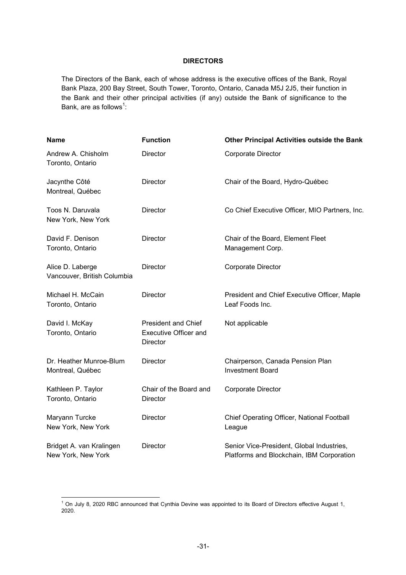#### **DIRECTORS**

The Directors of the Bank, each of whose address is the executive offices of the Bank, Royal Bank Plaza, 200 Bay Street, South Tower, Toronto, Ontario, Canada M5J 2J5, their function in the Bank and their other principal activities (if any) outside the Bank of significance to the Bank, are as follows<sup>1</sup>:

| <b>Name</b>                                     | <b>Function</b>                                                        | <b>Other Principal Activities outside the Bank</b>                                     |  |
|-------------------------------------------------|------------------------------------------------------------------------|----------------------------------------------------------------------------------------|--|
| Andrew A. Chisholm<br>Toronto, Ontario          | <b>Director</b>                                                        | Corporate Director                                                                     |  |
| Jacynthe Côté<br>Montreal, Québec               | <b>Director</b>                                                        | Chair of the Board, Hydro-Québec                                                       |  |
| Toos N. Daruvala<br>New York, New York          | <b>Director</b>                                                        | Co Chief Executive Officer, MIO Partners, Inc.                                         |  |
| David F. Denison<br>Toronto, Ontario            | <b>Director</b>                                                        | Chair of the Board, Element Fleet<br>Management Corp.                                  |  |
| Alice D. Laberge<br>Vancouver, British Columbia | <b>Director</b>                                                        | Corporate Director                                                                     |  |
| Michael H. McCain<br>Toronto, Ontario           | <b>Director</b>                                                        | President and Chief Executive Officer, Maple<br>Leaf Foods Inc.                        |  |
| David I. McKay<br>Toronto, Ontario              | <b>President and Chief</b><br><b>Executive Officer and</b><br>Director | Not applicable                                                                         |  |
| Dr. Heather Munroe-Blum<br>Montreal, Québec     | <b>Director</b>                                                        | Chairperson, Canada Pension Plan<br><b>Investment Board</b>                            |  |
| Kathleen P. Taylor<br>Toronto, Ontario          | Chair of the Board and<br>Director                                     | Corporate Director                                                                     |  |
| Maryann Turcke<br>New York, New York            | Director                                                               | Chief Operating Officer, National Football<br>League                                   |  |
| Bridget A. van Kralingen<br>New York, New York  | <b>Director</b>                                                        | Senior Vice-President, Global Industries,<br>Platforms and Blockchain, IBM Corporation |  |

 $\overline{a}$ 

<sup>&</sup>lt;sup>1</sup> On July 8, 2020 RBC announced that Cynthia Devine was appointed to its Board of Directors effective August 1, 2020.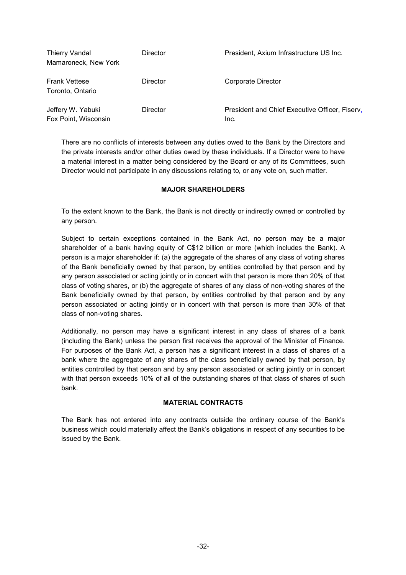| <b>Thierry Vandal</b>                     | Director | President, Axium Infrastructure US Inc.                |
|-------------------------------------------|----------|--------------------------------------------------------|
| Mamaroneck, New York                      |          |                                                        |
| <b>Frank Vettese</b><br>Toronto, Ontario  | Director | Corporate Director                                     |
| Jeffery W. Yabuki<br>Fox Point, Wisconsin | Director | President and Chief Executive Officer, Fisery,<br>Inc. |

There are no conflicts of interests between any duties owed to the Bank by the Directors and the private interests and/or other duties owed by these individuals. If a Director were to have a material interest in a matter being considered by the Board or any of its Committees, such Director would not participate in any discussions relating to, or any vote on, such matter.

### **MAJOR SHAREHOLDERS**

To the extent known to the Bank, the Bank is not directly or indirectly owned or controlled by any person.

Subject to certain exceptions contained in the Bank Act, no person may be a major shareholder of a bank having equity of C\$12 billion or more (which includes the Bank). A person is a major shareholder if: (a) the aggregate of the shares of any class of voting shares of the Bank beneficially owned by that person, by entities controlled by that person and by any person associated or acting jointly or in concert with that person is more than 20% of that class of voting shares, or (b) the aggregate of shares of any class of non-voting shares of the Bank beneficially owned by that person, by entities controlled by that person and by any person associated or acting jointly or in concert with that person is more than 30% of that class of non-voting shares.

Additionally, no person may have a significant interest in any class of shares of a bank (including the Bank) unless the person first receives the approval of the Minister of Finance. For purposes of the Bank Act, a person has a significant interest in a class of shares of a bank where the aggregate of any shares of the class beneficially owned by that person, by entities controlled by that person and by any person associated or acting jointly or in concert with that person exceeds 10% of all of the outstanding shares of that class of shares of such bank.

#### **MATERIAL CONTRACTS**

The Bank has not entered into any contracts outside the ordinary course of the Bank's business which could materially affect the Bank's obligations in respect of any securities to be issued by the Bank.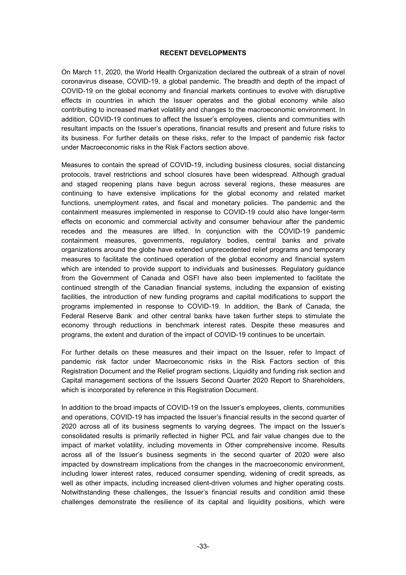#### **RECENT DEVELOPMENTS**

On March 11, 2020, the World Health Organization declared the outbreak of a strain of novel coronavirus disease, COVID-19, a global pandemic. The breadth and depth of the impact of COVID-19 on the global economy and financial markets continues to evolve with disruptive effects in countries in which the Issuer operates and the global economy while also contributing to increased market volatility and changes to the macroeconomic environment. In addition, COVID-19 continues to affect the Issuer's employees, clients and communities with resultant impacts on the Issuer's operations, financial results and present and future risks to its business. For further details on these risks, refer to the Impact of pandemic risk factor under Macroeconomic risks in the Risk Factors section above.

Measures to contain the spread of COVID-19, including business closures, social distancing protocols, travel restrictions and school closures have been widespread. Although gradual and staged reopening plans have begun across several regions, these measures are continuing to have extensive implications for the global economy and related market functions, unemployment rates, and fiscal and monetary policies. The pandemic and the containment measures implemented in response to COVID-19 could also have longer-term effects on economic and commercial activity and consumer behaviour after the pandemic recedes and the measures are lifted. In conjunction with the COVID-19 pandemic containment measures, governments, regulatory bodies, central banks and private organizations around the globe have extended unprecedented relief programs and temporary measures to facilitate the continued operation of the global economy and financial system which are intended to provide support to individuals and businesses. Regulatory guidance from the Government of Canada and OSFI have also been implemented to facilitate the continued strength of the Canadian financial systems, including the expansion of existing facilities, the introduction of new funding programs and capital modifications to support the programs implemented in response to COVID-19. In addition, the Bank of Canada, the Federal Reserve Bank and other central banks have taken further steps to stimulate the economy through reductions in benchmark interest rates. Despite these measures and programs, the extent and duration of the impact of COVID-19 continues to be uncertain.

For further details on these measures and their impact on the Issuer, refer to Impact of pandemic risk factor under Macroeconomic risks in the Risk Factors section of this Registration Document and the Relief program sections, Liquidity and funding risk section and Capital management sections of the Issuers Second Quarter 2020 Report to Shareholders, which is incorporated by reference in this Registration Document.

In addition to the broad impacts of COVID-19 on the Issuer's employees, clients, communities and operations, COVID-19 has impacted the Issuer's financial results in the second quarter of 2020 across all of its business segments to varying degrees. The impact on the Issuer's consolidated results is primarily reflected in higher PCL and fair value changes due to the impact of market volatility, including movements in Other comprehensive income. Results across all of the Issuer's business segments in the second quarter of 2020 were also impacted by downstream implications from the changes in the macroeconomic environment, including lower interest rates, reduced consumer spending, widening of credit spreads, as well as other impacts, including increased client-driven volumes and higher operating costs. Notwithstanding these challenges, the Issuer's financial results and condition amid these challenges demonstrate the resilience of its capital and liquidity positions, which were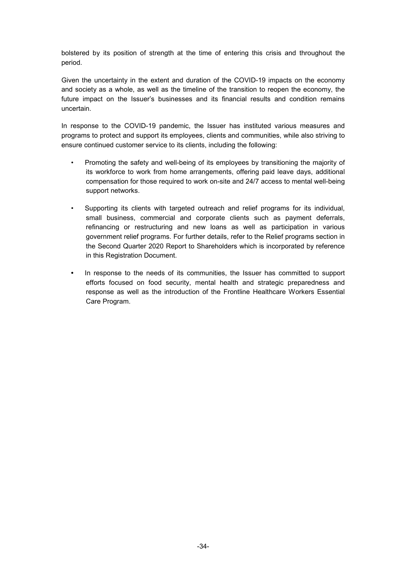bolstered by its position of strength at the time of entering this crisis and throughout the period.

Given the uncertainty in the extent and duration of the COVID-19 impacts on the economy and society as a whole, as well as the timeline of the transition to reopen the economy, the future impact on the Issuer's businesses and its financial results and condition remains uncertain.

In response to the COVID-19 pandemic, the Issuer has instituted various measures and programs to protect and support its employees, clients and communities, while also striving to ensure continued customer service to its clients, including the following:

- Promoting the safety and well-being of its employees by transitioning the majority of its workforce to work from home arrangements, offering paid leave days, additional compensation for those required to work on-site and 24/7 access to mental well-being support networks.
- Supporting its clients with targeted outreach and relief programs for its individual, small business, commercial and corporate clients such as payment deferrals, refinancing or restructuring and new loans as well as participation in various government relief programs. For further details, refer to the Relief programs section in the Second Quarter 2020 Report to Shareholders which is incorporated by reference in this Registration Document.
- In response to the needs of its communities, the Issuer has committed to support efforts focused on food security, mental health and strategic preparedness and response as well as the introduction of the Frontline Healthcare Workers Essential Care Program.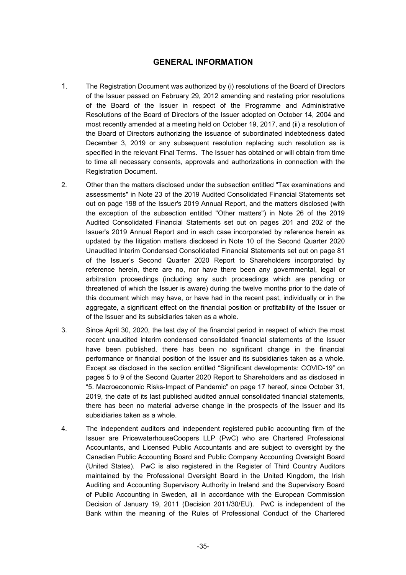# **GENERAL INFORMATION**

- 1. The Registration Document was authorized by (i) resolutions of the Board of Directors of the Issuer passed on February 29, 2012 amending and restating prior resolutions of the Board of the Issuer in respect of the Programme and Administrative Resolutions of the Board of Directors of the Issuer adopted on October 14, 2004 and most recently amended at a meeting held on October 19, 2017, and (ii) a resolution of the Board of Directors authorizing the issuance of subordinated indebtedness dated December 3, 2019 or any subsequent resolution replacing such resolution as is specified in the relevant Final Terms. The Issuer has obtained or will obtain from time to time all necessary consents, approvals and authorizations in connection with the Registration Document.
- 2. Other than the matters disclosed under the subsection entitled "Tax examinations and assessments" in Note 23 of the 2019 Audited Consolidated Financial Statements set out on page 198 of the Issuer's 2019 Annual Report, and the matters disclosed (with the exception of the subsection entitled "Other matters") in Note 26 of the 2019 Audited Consolidated Financial Statements set out on pages 201 and 202 of the Issuer's 2019 Annual Report and in each case incorporated by reference herein as updated by the litigation matters disclosed in Note 10 of the Second Quarter 2020 Unaudited Interim Condensed Consolidated Financial Statements set out on page 81 of the Issuer's Second Quarter 2020 Report to Shareholders incorporated by reference herein, there are no, nor have there been any governmental, legal or arbitration proceedings (including any such proceedings which are pending or threatened of which the Issuer is aware) during the twelve months prior to the date of this document which may have, or have had in the recent past, individually or in the aggregate, a significant effect on the financial position or profitability of the Issuer or of the Issuer and its subsidiaries taken as a whole.
- 3. Since April 30, 2020, the last day of the financial period in respect of which the most recent unaudited interim condensed consolidated financial statements of the Issuer have been published, there has been no significant change in the financial performance or financial position of the Issuer and its subsidiaries taken as a whole. Except as disclosed in the section entitled "Significant developments: COVID-19" on pages 5 to 9 of the Second Quarter 2020 Report to Shareholders and as disclosed in "5. Macroeconomic Risks-Impact of Pandemic" on page 17 hereof, since October 31, 2019, the date of its last published audited annual consolidated financial statements, there has been no material adverse change in the prospects of the Issuer and its subsidiaries taken as a whole.
- 4. The independent auditors and independent registered public accounting firm of the Issuer are PricewaterhouseCoopers LLP (PwC) who are Chartered Professional Accountants, and Licensed Public Accountants and are subject to oversight by the Canadian Public Accounting Board and Public Company Accounting Oversight Board (United States). PwC is also registered in the Register of Third Country Auditors maintained by the Professional Oversight Board in the United Kingdom, the Irish Auditing and Accounting Supervisory Authority in Ireland and the Supervisory Board of Public Accounting in Sweden, all in accordance with the European Commission Decision of January 19, 2011 (Decision 2011/30/EU). PwC is independent of the Bank within the meaning of the Rules of Professional Conduct of the Chartered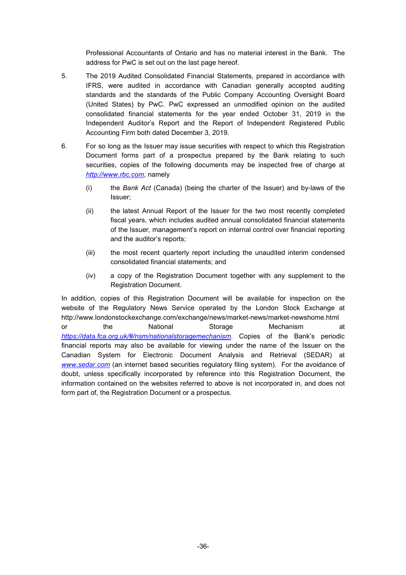Professional Accountants of Ontario and has no material interest in the Bank. The address for PwC is set out on the last page hereof.

- 5. The 2019 Audited Consolidated Financial Statements, prepared in accordance with IFRS, were audited in accordance with Canadian generally accepted auditing standards and the standards of the Public Company Accounting Oversight Board (United States) by PwC. PwC expressed an unmodified opinion on the audited consolidated financial statements for the year ended October 31, 2019 in the Independent Auditor's Report and the Report of Independent Registered Public Accounting Firm both dated December 3, 2019.
- 6. For so long as the Issuer may issue securities with respect to which this Registration Document forms part of a prospectus prepared by the Bank relating to such securities, copies of the following documents may be inspected free of charge at *http://www.rbc.com*, namely
	- (i) the *Bank Act* (Canada) (being the charter of the Issuer) and by-laws of the Issuer;
	- (ii) the latest Annual Report of the Issuer for the two most recently completed fiscal years, which includes audited annual consolidated financial statements of the Issuer, management's report on internal control over financial reporting and the auditor's reports;
	- (iii) the most recent quarterly report including the unaudited interim condensed consolidated financial statements; and
	- (iv) a copy of the Registration Document together with any supplement to the Registration Document.

In addition, copies of this Registration Document will be available for inspection on the website of the Regulatory News Service operated by the London Stock Exchange at http://www.londonstockexchange.com/exchange/news/market-news/market-newshome.html or the National Storage Mechanism at *https://data.fca.org.uk/#/nsm/nationalstoragemechanism*. Copies of the Bank's periodic financial reports may also be available for viewing under the name of the Issuer on the Canadian System for Electronic Document Analysis and Retrieval (SEDAR) at *www.sedar.com* (an internet based securities regulatory filing system). For the avoidance of doubt, unless specifically incorporated by reference into this Registration Document, the information contained on the websites referred to above is not incorporated in, and does not form part of, the Registration Document or a prospectus.